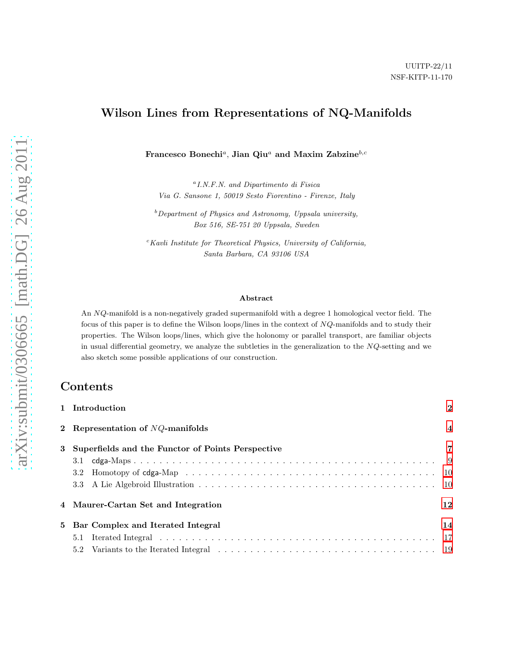# Wilson Lines from Representations of NQ-Manifolds

Francesco Bonechi<sup>a</sup>, Jian Qiu<sup>a</sup> and Maxim Zabzine<sup>b,c</sup>

<sup>a</sup> I.N.F.N. and Dipartimento di Fisica Via G. Sansone 1, 50019 Sesto Fiorentino - Firenze, Italy

 $b$  Department of Physics and Astronomy, Uppsala university, Box 516, SE-751 20 Uppsala, Sweden

 $c$ Kavli Institute for Theoretical Physics, University of California, Santa Barbara, CA 93106 USA

#### Abstract

An NQ-manifold is a non-negatively graded supermanifold with a degree 1 homological vector field. The focus of this paper is to define the Wilson loops/lines in the context of NQ-manifolds and to study their properties. The Wilson loops/lines, which give the holonomy or parallel transport, are familiar objects in usual differential geometry, we analyze the subtleties in the generalization to the NQ-setting and we also sketch some possible applications of our construction.

# Contents

|   | 1 Introduction                                                                                                                                                                                                                        | $\mathbf{2}$   |
|---|---------------------------------------------------------------------------------------------------------------------------------------------------------------------------------------------------------------------------------------|----------------|
|   | 2 Representation of $NQ$ -manifolds                                                                                                                                                                                                   | $\overline{4}$ |
| 3 | Superfields and the Functor of Points Perspective                                                                                                                                                                                     | $\overline{7}$ |
|   |                                                                                                                                                                                                                                       |                |
|   | 3.2                                                                                                                                                                                                                                   |                |
|   |                                                                                                                                                                                                                                       |                |
|   | 4 Maurer-Cartan Set and Integration                                                                                                                                                                                                   | 12             |
|   | 5 Bar Complex and Iterated Integral                                                                                                                                                                                                   | 14             |
|   | Iterated Integral in the contract of the contract of the contract of the contract of the contract of the contract of the contract of the contract of the contract of the contract of the contract of the contract of the contr<br>5.1 |                |
|   | 5.2                                                                                                                                                                                                                                   |                |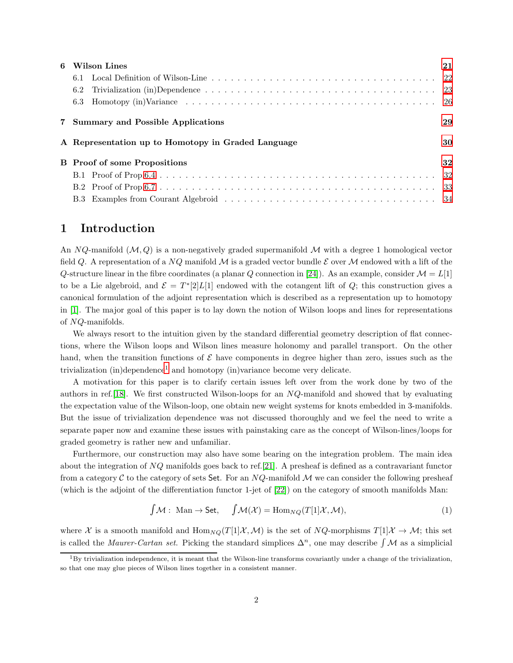| 6 | Wilson Lines                                       | 21 |
|---|----------------------------------------------------|----|
|   |                                                    |    |
|   | 6.2                                                |    |
|   |                                                    |    |
|   | 7 Summary and Possible Applications                | 29 |
|   |                                                    |    |
|   | A Representation up to Homotopy in Graded Language | 30 |
|   | <b>B</b> Proof of some Propositions                | 32 |
|   |                                                    |    |
|   |                                                    |    |

### <span id="page-1-0"></span>1 Introduction

An NQ-manifold  $(M, Q)$  is a non-negatively graded supermanifold M with a degree 1 homological vector field Q. A representation of a NQ manifold M is a graded vector bundle  $\mathcal E$  over M endowed with a lift of the Q-structure linear in the fibre coordinates (a planar Q connection in [\[24\]](#page-36-0)). As an example, consider  $\mathcal{M} = L[1]$ to be a Lie algebroid, and  $\mathcal{E} = T^*[2]L[1]$  endowed with the cotangent lift of Q; this construction gives a canonical formulation of the adjoint representation which is described as a representation up to homotopy in [\[1\]](#page-35-0). The major goal of this paper is to lay down the notion of Wilson loops and lines for representations of NQ-manifolds.

We always resort to the intuition given by the standard differential geometry description of flat connections, where the Wilson loops and Wilson lines measure holonomy and parallel transport. On the other hand, when the transition functions of  $\mathcal E$  have components in degree higher than zero, issues such as the trivialization (in)dependence<sup>[1](#page-1-1)</sup> and homotopy (in)variance become very delicate.

A motivation for this paper is to clarify certain issues left over from the work done by two of the authors in ref.[\[18\]](#page-36-1). We first constructed Wilson-loops for an NQ-manifold and showed that by evaluating the expectation value of the Wilson-loop, one obtain new weight systems for knots embedded in 3-manifolds. But the issue of trivialization dependence was not discussed thoroughly and we feel the need to write a separate paper now and examine these issues with painstaking care as the concept of Wilson-lines/loops for graded geometry is rather new and unfamiliar.

Furthermore, our construction may also have some bearing on the integration problem. The main idea about the integration of NQ manifolds goes back to ref.[\[21\]](#page-36-2). A presheaf is defined as a contravariant functor from a category C to the category of sets Set. For an  $NQ$ -manifold M we can consider the following presheaf (which is the adjoint of the differentiation functor 1-jet of [\[22\]](#page-36-3)) on the category of smooth manifolds Man:

$$
\int \mathcal{M} : \text{Man} \to \text{Set}, \quad \int \mathcal{M}(\mathcal{X}) = \text{Hom}_{NQ}(T[1]\mathcal{X}, \mathcal{M}), \tag{1}
$$

where X is a smooth manifold and  $\text{Hom}_{NQ}(T[1]\mathcal{X},\mathcal{M})$  is the set of  $NQ$ -morphisms  $T[1]\mathcal{X} \to \mathcal{M}$ ; this set is called the Maurer-Cartan set. Picking the standard simplices  $\Delta^n$ , one may describe  $\int \mathcal{M}$  as a simplicial

<span id="page-1-1"></span> ${}^{1}$ By trivialization independence, it is meant that the Wilson-line transforms covariantly under a change of the trivialization. so that one may glue pieces of Wilson lines together in a consistent manner.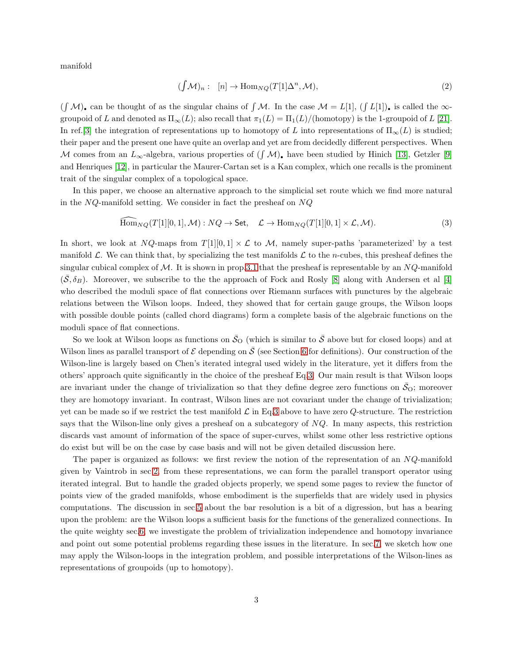manifold

$$
(\int \mathcal{M})_n: \quad [n] \to \text{Hom}_{NQ}(T[1]\Delta^n, \mathcal{M}), \tag{2}
$$

 $(\int M)_\bullet$  can be thought of as the singular chains of  $\int M$ . In the case  $M = L[1]$ ,  $(\int L[1])_\bullet$  is called the  $\infty$ groupoid of L and denoted as  $\Pi_{\infty}(L)$ ; also recall that  $\pi_1(L) = \Pi_1(L)/$  (homotopy) is the 1-groupoid of L [\[21\]](#page-36-2). In ref.[\[3\]](#page-35-1) the integration of representations up to homotopy of L into representations of  $\Pi_{\infty}(L)$  is studied; their paper and the present one have quite an overlap and yet are from decidedly different perspectives. When M comes from an  $L_{\infty}$ -algebra, various properties of  $(\int \mathcal{M})$ , have been studied by Hinich [\[13\]](#page-36-4), Getzler [\[9\]](#page-35-2) and Henriques [\[12\]](#page-36-5), in particular the Maurer-Cartan set is a Kan complex, which one recalls is the prominent trait of the singular complex of a topological space.

In this paper, we choose an alternative approach to the simplicial set route which we find more natural in the  $NQ$ -manifold setting. We consider in fact the presheaf on  $NQ$ 

<span id="page-2-0"></span>
$$
\widehat{\text{Hom}}_{NQ}(T[1][0,1], \mathcal{M}): NQ \to \text{Set}, \quad \mathcal{L} \to \text{Hom}_{NQ}(T[1][0,1] \times \mathcal{L}, \mathcal{M}).
$$
\n(3)

In short, we look at NQ-maps from  $T[1][0,1] \times \mathcal{L}$  to M, namely super-paths 'parameterized' by a test manifold  $\mathcal{L}$ . We can think that, by specializing the test manifolds  $\mathcal{L}$  to the *n*-cubes, this presheaf defines the singular cubical complex of  $M$ . It is shown in prop[.3.1](#page-8-1) that the presheaf is representable by an  $NQ$ -manifold  $(\mathcal{S}, \delta_B)$ . Moreover, we subscribe to the the approach of Fock and Rosly [\[8\]](#page-35-3) along with Andersen et al [\[4\]](#page-35-4) who described the moduli space of flat connections over Riemann surfaces with punctures by the algebraic relations between the Wilson loops. Indeed, they showed that for certain gauge groups, the Wilson loops with possible double points (called chord diagrams) form a complete basis of the algebraic functions on the moduli space of flat connections.

So we look at Wilson loops as functions on  $\bar{S}_{\text{O}}$  (which is similar to  $\bar{S}$  above but for closed loops) and at Wilson lines as parallel transport of  $\mathcal E$  depending on  $\bar{\mathcal S}$  (see Section [6](#page-20-0) for definitions). Our construction of the Wilson-line is largely based on Chen's iterated integral used widely in the literature, yet it differs from the others' approach quite significantly in the choice of the presheaf Eq[.3.](#page-2-0) Our main result is that Wilson loops are invariant under the change of trivialization so that they define degree zero functions on  $\bar{S}_{\text{O}}$ ; moreover they are homotopy invariant. In contrast, Wilson lines are not covariant under the change of trivialization; yet can be made so if we restrict the test manifold  $\mathcal L$  in Eq[.3](#page-2-0) above to have zero Q-structure. The restriction says that the Wilson-line only gives a presheaf on a subcategory of  $NQ$ . In many aspects, this restriction discards vast amount of information of the space of super-curves, whilst some other less restrictive options do exist but will be on the case by case basis and will not be given detailed discussion here.

The paper is organized as follows: we first review the notion of the representation of an NQ-manifold given by Vaintrob in sec[.2,](#page-3-0) from these representations, we can form the parallel transport operator using iterated integral. But to handle the graded objects properly, we spend some pages to review the functor of points view of the graded manifolds, whose embodiment is the superfields that are widely used in physics computations. The discussion in sec[.5](#page-13-0) about the bar resolution is a bit of a digression, but has a bearing upon the problem: are the Wilson loops a sufficient basis for the functions of the generalized connections. In the quite weighty sec[.6,](#page-20-0) we investigate the problem of trivialization independence and homotopy invariance and point out some potential problems regarding these issues in the literature. In sec[.7,](#page-28-0) we sketch how one may apply the Wilson-loops in the integration problem, and possible interpretations of the Wilson-lines as representations of groupoids (up to homotopy).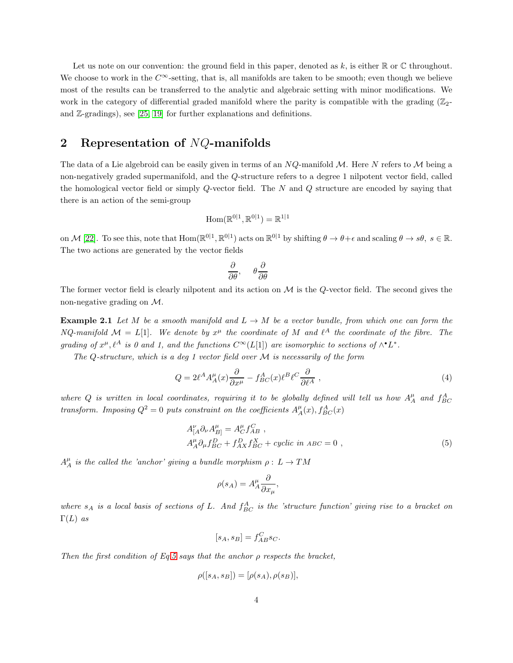Let us note on our convention: the ground field in this paper, denoted as k, is either  $\mathbb R$  or  $\mathbb C$  throughout. We choose to work in the  $C^{\infty}$ -setting, that is, all manifolds are taken to be smooth; even though we believe most of the results can be transferred to the analytic and algebraic setting with minor modifications. We work in the category of differential graded manifold where the parity is compatible with the grading  $(\mathbb{Z}_2)$ and Z-gradings), see [\[25,](#page-36-6) [19\]](#page-36-7) for further explanations and definitions.

## <span id="page-3-0"></span>2 Representation of  $NQ$ -manifolds

The data of a Lie algebroid can be easily given in terms of an  $NQ$ -manifold M. Here N refers to M being a non-negatively graded supermanifold, and the Q-structure refers to a degree 1 nilpotent vector field, called the homological vector field or simply  $Q$ -vector field. The  $N$  and  $Q$  structure are encoded by saying that there is an action of the semi-group

$$
\mathrm{Hom}(\mathbb{R}^{0|1},\mathbb{R}^{0|1})=\mathbb{R}^{1|1}
$$

on M [\[22\]](#page-36-3). To see this, note that  $\text{Hom}(\mathbb{R}^{0|1}, \mathbb{R}^{0|1})$  acts on  $\mathbb{R}^{0|1}$  by shifting  $\theta \to \theta + \epsilon$  and scaling  $\theta \to s\theta$ ,  $s \in \mathbb{R}$ . The two actions are generated by the vector fields

$$
\frac{\partial}{\partial \theta}, \quad \theta \frac{\partial}{\partial \theta}
$$

<span id="page-3-2"></span>The former vector field is clearly nilpotent and its action on  $\mathcal M$  is the Q-vector field. The second gives the non-negative grading on M.

**Example 2.1** Let M be a smooth manifold and  $L \rightarrow M$  be a vector bundle, from which one can form the NQ-manifold  $\mathcal{M} = L[1]$ . We denote by  $x^{\mu}$  the coordinate of M and  $\ell^{A}$  the coordinate of the fibre. The grading of  $x^{\mu}, \ell^{A}$  is 0 and 1, and the functions  $C^{\infty}(L[1])$  are isomorphic to sections of  $\wedge^{\bullet} L^{*}$ .

The Q-structure, which is a deg 1 vector field over  $M$  is necessarily of the form

<span id="page-3-3"></span>
$$
Q = 2\ell^A A_A^{\mu}(x) \frac{\partial}{\partial x^{\mu}} - f_{BC}^A(x) \ell^B \ell^C \frac{\partial}{\partial \ell^A} , \qquad (4)
$$

where Q is written in local coordinates, requiring it to be globally defined will tell us how  $A^{\mu}_A$  and  $f^{A}_{BC}$ transform. Imposing  $Q^2 = 0$  puts constraint on the coefficients  $A^{\mu}_A(x)$ ,  $f^A_{BC}(x)$ 

<span id="page-3-1"></span>
$$
A_{[A}^{\nu} \partial_{\nu} A_{B]}^{\mu} = A_{C}^{\mu} f_{AB}^{C} ,
$$
  
\n
$$
A_{A}^{\mu} \partial_{\mu} f_{BC}^{D} + f_{AX}^{D} f_{BC}^{X} + cyclic \ in \ ABC = 0 ,
$$
\n(5)

 $A^{\mu}_A$  is the called the 'anchor' giving a bundle morphism  $\rho: L \to TM$ 

$$
\rho(s_A) = A_A^{\mu} \frac{\partial}{\partial x_{\mu}},
$$

where  $s_A$  is a local basis of sections of L. And  $f_{BC}^A$  is the 'structure function' giving rise to a bracket on  $\Gamma(L)$  as

$$
[s_A, s_B] = f_{AB}^C s_C.
$$

Then the first condition of Eq[.5](#page-3-1) says that the anchor  $\rho$  respects the bracket,

$$
\rho([s_A, s_B]) = [\rho(s_A), \rho(s_B)],
$$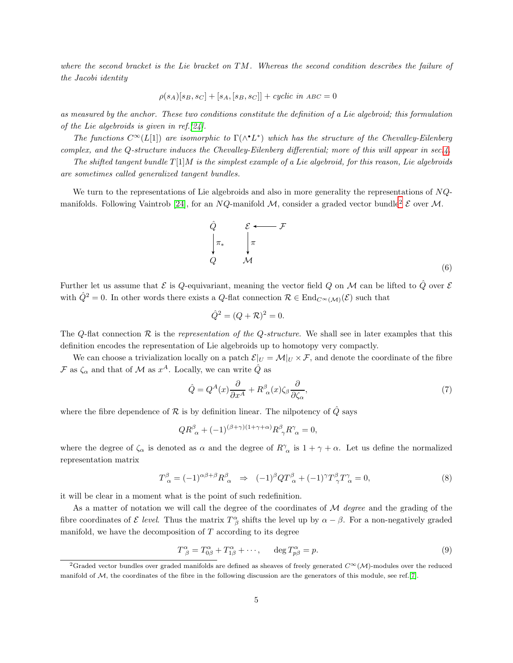where the second bracket is the Lie bracket on TM. Whereas the second condition describes the failure of the Jacobi identity

$$
\rho(s_A)[s_B,s_C]+[s_A,[s_B,s_C]]+cyclic\ in\ ABC=0
$$

as measured by the anchor. These two conditions constitute the definition of a Lie algebroid; this formulation of the Lie algebroids is given in ref.[\[24\]](#page-36-0).

The functions  $C^{\infty}(L[1])$  are isomorphic to  $\Gamma(\wedge^{\bullet} L^*)$  which has the structure of the Chevalley-Eilenberg complex, and the Q-structure induces the Chevalley-Eilenberg differential; more of this will appear in sec[.4.](#page-11-0)

The shifted tangent bundle  $T[1]M$  is the simplest example of a Lie algebroid, for this reason, Lie algebroids are sometimes called generalized tangent bundles.

We turn to the representations of Lie algebroids and also in more generality the representations of  $NQ$ -manifolds. Following Vaintrob [\[24\]](#page-36-0), for an NQ-manifold M, consider a graded vector bundle<sup>[2](#page-4-0)</sup>  $\mathcal E$  over M.

<span id="page-4-3"></span>

Further let us assume that  $\mathcal E$  is  $Q$ -equivariant, meaning the vector field  $Q$  on  $\mathcal M$  can be lifted to  $\hat Q$  over  $\mathcal E$ with  $\hat{Q}^2 = 0$ . In other words there exists a Q-flat connection  $\mathcal{R} \in \text{End}_{C^{\infty}(\mathcal{M})}(\mathcal{E})$  such that

$$
\hat{Q}^2 = (Q + \mathcal{R})^2 = 0.
$$

The Q-flat connection  $\mathcal R$  is the representation of the Q-structure. We shall see in later examples that this definition encodes the representation of Lie algebroids up to homotopy very compactly.

We can choose a trivialization locally on a patch  $\mathcal{E}|_U = \mathcal{M}|_U \times \mathcal{F}$ , and denote the coordinate of the fibre  $\mathcal F$  as  $\zeta_\alpha$  and that of  $\mathcal M$  as  $x^A$ . Locally, we can write  $\hat Q$  as

<span id="page-4-4"></span>
$$
\hat{Q} = Q^A(x)\frac{\partial}{\partial x^A} + R^\beta_{\ \alpha}(x)\zeta_\beta \frac{\partial}{\partial \zeta_\alpha},\tag{7}
$$

where the fibre dependence of  $R$  is by definition linear. The nilpotency of  $\hat{Q}$  says

$$
QR_{\ \alpha}^{\beta} + (-1)^{(\beta + \gamma)(1 + \gamma + \alpha)} R^{\beta}_{\ \gamma} R^{\gamma}_{\ \alpha} = 0,
$$

where the degree of  $\zeta_{\alpha}$  is denoted as  $\alpha$  and the degree of  $R^{\gamma}_{\alpha}$  is  $1 + \gamma + \alpha$ . Let us define the normalized representation matrix

<span id="page-4-1"></span>
$$
T^{\beta}_{\alpha} = (-1)^{\alpha\beta + \beta} R^{\beta}_{\alpha} \Rightarrow (-1)^{\beta} Q T^{\beta}_{\alpha} + (-1)^{\gamma} T^{\beta}_{\gamma} T^{\gamma}_{\alpha} = 0, \tag{8}
$$

it will be clear in a moment what is the point of such redefinition.

As a matter of notation we will call the degree of the coordinates of  $\mathcal M$  degree and the grading of the fibre coordinates of  $\mathcal E$  level. Thus the matrix  $T^{\alpha}_{\beta}$  shifts the level up by  $\alpha - \beta$ . For a non-negatively graded manifold, we have the decomposition of  $T$  according to its degree

<span id="page-4-2"></span>
$$
T^{\alpha}_{\ \beta} = T^{\alpha}_{0\beta} + T^{\alpha}_{1\beta} + \cdots, \qquad \deg T^{\alpha}_{p\beta} = p. \tag{9}
$$

<span id="page-4-0"></span><sup>&</sup>lt;sup>2</sup>Graded vector bundles over graded manifolds are defined as sheaves of freely generated  $C^{\infty}(\mathcal{M})$ -modules over the reduced manifold of M, the coordinates of the fibre in the following discussion are the generators of this module, see ref.[\[7\]](#page-35-5).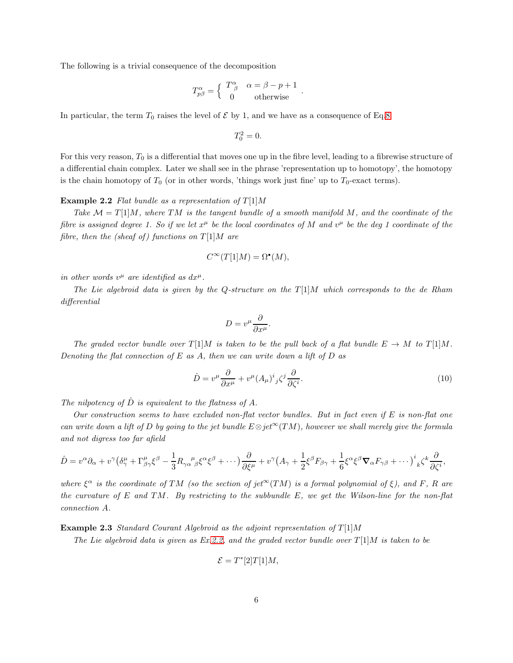The following is a trivial consequence of the decomposition

$$
T^{\alpha}_{p\beta} = \begin{cases} T^{\alpha}_{\ \beta} & \alpha = \beta - p + 1 \\ 0 & \text{otherwise} \end{cases}.
$$

In particular, the term  $T_0$  raises the level of  $\mathcal E$  by 1, and we have as a consequence of Eq[.8](#page-4-1)

$$
T_0^2=0.
$$

<span id="page-5-0"></span>For this very reason,  $T_0$  is a differential that moves one up in the fibre level, leading to a fibrewise structure of a differential chain complex. Later we shall see in the phrase 'representation up to homotopy', the homotopy is the chain homotopy of  $T_0$  (or in other words, 'things work just fine' up to  $T_0$ -exact terms).

#### **Example 2.2** Flat bundle as a representation of  $T[1]M$

Take  $\mathcal{M} = T[1]M$ , where TM is the tangent bundle of a smooth manifold M, and the coordinate of the fibre is assigned degree 1. So if we let  $x^{\mu}$  be the local coordinates of M and  $v^{\mu}$  be the deg 1 coordinate of the fibre, then the (sheaf of) functions on  $T[1]M$  are

$$
C^{\infty}(T[1]M) = \Omega^{\bullet}(M),
$$

in other words  $v^{\mu}$  are identified as  $dx^{\mu}$ .

The Lie algebroid data is given by the Q-structure on the  $T[1]M$  which corresponds to the de Rham differential

$$
D = v^{\mu} \frac{\partial}{\partial x^{\mu}}.
$$

The graded vector bundle over  $T[1]M$  is taken to be the pull back of a flat bundle  $E \to M$  to  $T[1]M$ . Denoting the flat connection of  $E$  as  $A$ , then we can write down a lift of  $D$  as

<span id="page-5-1"></span>
$$
\hat{D} = v^{\mu} \frac{\partial}{\partial x^{\mu}} + v^{\mu} (A_{\mu})^{i}{}_{j} \zeta^{j} \frac{\partial}{\partial \zeta^{i}}.
$$
\n(10)

The nilpotency of  $\hat{D}$  is equivalent to the flatness of A.

Our construction seems to have excluded non-flat vector bundles. But in fact even if  $E$  is non-flat one can write down a lift of D by going to the jet bundle  $E \otimes jet^{\infty}(TM)$ , however we shall merely give the formula and not digress too far afield

$$
\hat{D} = v^{\alpha}\partial_{\alpha} + v^{\gamma}\left(\delta^{\mu}_{\gamma} + \Gamma^{\mu}_{\beta\gamma}\xi^{\beta} - \frac{1}{3}R_{\gamma\alpha\beta}^{\mu}\xi^{\alpha}\xi^{\beta} + \cdots\right)\frac{\partial}{\partial\xi^{\mu}} + v^{\gamma}\left(A_{\gamma} + \frac{1}{2}\xi^{\beta}F_{\beta\gamma} + \frac{1}{6}\xi^{\alpha}\xi^{\beta}\nabla_{\alpha}F_{\gamma\beta} + \cdots\right)^{i}{}_{k}\zeta^{k}\frac{\partial}{\partial\xi^{i}},
$$

where  $\xi^{\alpha}$  is the coordinate of TM (so the section of jet<sup>∞</sup>(TM) is a formal polynomial of  $\xi$ ), and F, R are the curvature of E and TM. By restricting to the subbundle  $E$ , we get the Wilson-line for the non-flat connection A.

<span id="page-5-2"></span>**Example 2.3** Standard Courant Algebroid as the adjoint representation of  $T[1]M$ 

The Lie algebroid data is given as Ex[.2.2,](#page-5-0) and the graded vector bundle over  $T[1]M$  is taken to be

$$
\mathcal{E} = T^*[2]T[1]M,
$$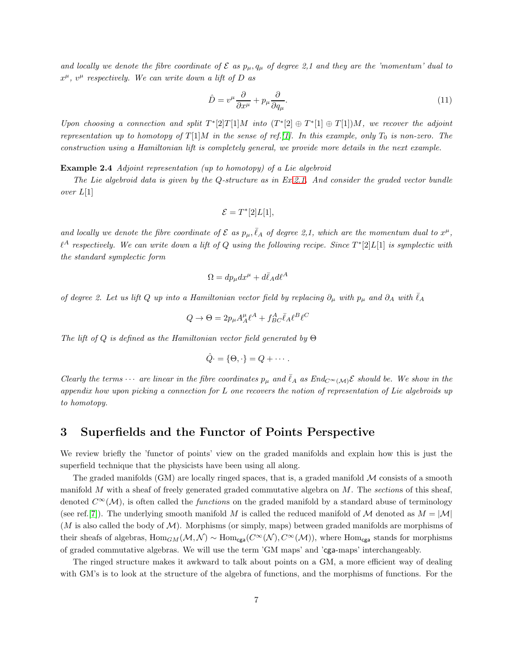and locally we denote the fibre coordinate of  $\mathcal E$  as  $p_\mu, q_\mu$  of degree 2,1 and they are the 'momentum' dual to  $x^{\mu}$ ,  $v^{\mu}$  respectively. We can write down a lift of D as

<span id="page-6-2"></span>
$$
\hat{D} = v^{\mu} \frac{\partial}{\partial x^{\mu}} + p_{\mu} \frac{\partial}{\partial q_{\mu}}.
$$
\n(11)

Upon choosing a connection and split  $T^*[2]T[1]M$  into  $(T^*[2] \oplus T^*[1] \oplus T[1])M$ , we recover the adjoint representation up to homotopy of  $T[1]M$  $T[1]M$  $T[1]M$  in the sense of ref. [1]. In this example, only  $T_0$  is non-zero. The construction using a Hamiltonian lift is completely general, we provide more details in the next example.

<span id="page-6-1"></span>Example 2.4 Adjoint representation (up to homotopy) of a Lie algebroid

The Lie algebroid data is given by the Q-structure as in Ex[.2.1.](#page-3-2) And consider the graded vector bundle over L[1]

$$
\mathcal{E} = T^*[2]L[1],
$$

and locally we denote the fibre coordinate of  $\mathcal E$  as  $p_\mu, \bar \ell_A$  of degree 2,1, which are the momentum dual to  $x^\mu$ ,  $\ell^A$  respectively. We can write down a lift of Q using the following recipe. Since  $T^*[2]L[1]$  is symplectic with the standard symplectic form

$$
\Omega = dp_{\mu}dx^{\mu} + d\bar{\ell}_A d\ell^A
$$

of degree 2. Let us lift Q up into a Hamiltonian vector field by replacing  $\partial_{\mu}$  with  $p_{\mu}$  and  $\partial_{A}$  with  $\ell_{A}$ 

$$
Q \to \Theta = 2p_{\mu}A^{\mu}_{A}\ell^{A} + f^{A}_{BC}\bar{\ell}_{A}\ell^{B}\ell^{C}
$$

The lift of Q is defined as the Hamiltonian vector field generated by  $\Theta$ 

$$
\hat{Q} = \{ \Theta, \cdot \} = Q + \cdots.
$$

Clearly the terms  $\cdots$  are linear in the fibre coordinates  $p_\mu$  and  $\bar{\ell}_A$  as  $End_{C^\infty(\mathcal{M})} \mathcal{E}$  should be. We show in the appendix how upon picking a connection for L one recovers the notion of representation of Lie algebroids up to homotopy.

## <span id="page-6-0"></span>3 Superfields and the Functor of Points Perspective

We review briefly the 'functor of points' view on the graded manifolds and explain how this is just the superfield technique that the physicists have been using all along.

The graded manifolds  $(GM)$  are locally ringed spaces, that is, a graded manifold  $M$  consists of a smooth manifold  $M$  with a sheaf of freely generated graded commutative algebra on  $M$ . The sections of this sheaf, denoted  $C^{\infty}(\mathcal{M})$ , is often called the *functions* on the graded manifold by a standard abuse of terminology (see ref.[\[7\]](#page-35-5)). The underlying smooth manifold M is called the reduced manifold of M denoted as  $M = |M|$  $(M \text{ is also called the body of } \mathcal{M})$ . Morphisms (or simply, maps) between graded manifolds are morphisms of their sheafs of algebras,  $\text{Hom}_{GM}(\mathcal{M}, \mathcal{N}) \sim \text{Hom}_{cgs}(C^{\infty}(\mathcal{N}), C^{\infty}(\mathcal{M}))$ , where  $\text{Hom}_{cgs}$  stands for morphisms of graded commutative algebras. We will use the term 'GM maps' and 'cga-maps' interchangeably.

The ringed structure makes it awkward to talk about points on a GM, a more efficient way of dealing with GM's is to look at the structure of the algebra of functions, and the morphisms of functions. For the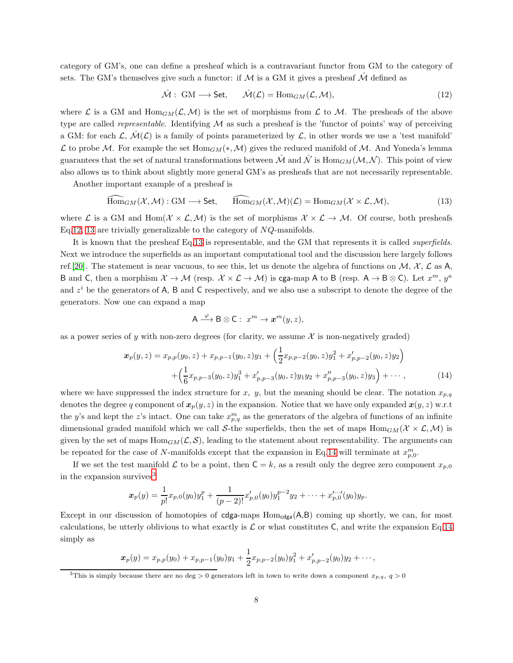category of GM's, one can define a presheaf which is a contravariant functor from GM to the category of sets. The GM's themselves give such a functor: if M is a GM it gives a presheaf  $\hat{\mathcal{M}}$  defined as

<span id="page-7-0"></span>
$$
\hat{\mathcal{M}}: \text{ GM} \longrightarrow \text{Set}, \qquad \hat{\mathcal{M}}(\mathcal{L}) = \text{Hom}_{GM}(\mathcal{L}, \mathcal{M}), \tag{12}
$$

where L is a GM and  $\text{Hom}_{GM}(\mathcal{L}, \mathcal{M})$  is the set of morphisms from L to M. The presheafs of the above type are called *representable*. Identifying  $M$  as such a presheaf is the 'functor of points' way of perceiving a GM: for each  $\mathcal{L}, \mathcal{M}(\mathcal{L})$  is a family of points parameterized by  $\mathcal{L}$ , in other words we use a 'test manifold'  $\mathcal L$  to probe  $\mathcal M$ . For example the set Hom<sub>GM</sub>(\*,  $\mathcal M$ ) gives the reduced manifold of  $\mathcal M$ . And Yoneda's lemma guarantees that the set of natural transformations between  $\hat{\mathcal{M}}$  and  $\hat{\mathcal{N}}$  is Hom $_{GM}(\mathcal{M},\mathcal{N})$ . This point of view also allows us to think about slightly more general GM's as presheafs that are not necessarily representable.

Another important example of a presheaf is

<span id="page-7-1"></span>
$$
\widehat{\text{Hom}}_{GM}(\mathcal{X}, \mathcal{M}): \text{GM} \longrightarrow \text{Set}, \qquad \widehat{\text{Hom}}_{GM}(\mathcal{X}, \mathcal{M})(\mathcal{L}) = \text{Hom}_{GM}(\mathcal{X} \times \mathcal{L}, \mathcal{M}), \tag{13}
$$

where L is a GM and Hom $(\mathcal{X} \times \mathcal{L}, \mathcal{M})$  is the set of morphisms  $\mathcal{X} \times \mathcal{L} \to \mathcal{M}$ . Of course, both presheafs Eq[.12,](#page-7-0) [13](#page-7-1) are trivially generalizable to the category of  $NQ$ -manifolds.

It is known that the presheaf Eq[.13](#page-7-1) is representable, and the GM that represents it is called superfields. Next we introduce the superfields as an important computational tool and the discussion here largely follows ref.[\[20\]](#page-36-8). The statement is near vacuous, to see this, let us denote the algebra of functions on  $M$ ,  $\mathcal{X}$ ,  $\mathcal{L}$  as A, B and C, then a morphism  $\mathcal{X} \to \mathcal{M}$  (resp.  $\mathcal{X} \times \mathcal{L} \to \mathcal{M}$ ) is cga-map A to B (resp.  $A \to B \otimes C$ ). Let  $x^m$ ,  $y^a$ and  $z^i$  be the generators of A, B and C respectively, and we also use a subscript to denote the degree of the generators. Now one can expand a map

$$
A \xrightarrow{\varphi} B \otimes C: x^m \to x^m(y, z),
$$

as a power series of y with non-zero degrees (for clarity, we assume  $\mathcal X$  is non-negatively graded)

<span id="page-7-2"></span>
$$
\boldsymbol{x}_{p}(y,z) = x_{p,p}(y_{0},z) + x_{p,p-1}(y_{0},z)y_{1} + \left(\frac{1}{2}x_{p,p-2}(y_{0},z)y_{1}^{2} + x'_{p,p-2}(y_{0},z)y_{2}\right) \n+ \left(\frac{1}{6}x_{p,p-3}(y_{0},z)y_{1}^{3} + x'_{p,p-3}(y_{0},z)y_{1}y_{2} + x''_{p,p-3}(y_{0},z)y_{3}\right) + \cdots,
$$
\n(14)

where we have suppressed the index structure for x, y, but the meaning should be clear. The notation  $x_{p,q}$ denotes the degree q component of  $x_p(y, z)$  in the expansion. Notice that we have only expanded  $x(y, z)$  w.r.t the y's and kept the z's intact. One can take  $x_{p,q}^m$  as the generators of the algebra of functions of an infinite dimensional graded manifold which we call S-the superfields, then the set of maps  $\text{Hom}_{GM}(\mathcal{X} \times \mathcal{L}, \mathcal{M})$  is given by the set of maps  $\text{Hom}_{GM}(\mathcal{L}, \mathcal{S})$ , leading to the statement about representability. The arguments can be repeated for the case of N-manifolds except that the expansion in Eq[.14](#page-7-2) will terminate at  $x_{p,0}^m$ .

If we set the test manifold  $\mathcal L$  to be a point, then  $C = k$ , as a result only the degree zero component  $x_{p,0}$ in the expansion survives<sup>[3](#page-7-3)</sup>

$$
\boldsymbol{x}_p(y) = \frac{1}{p!} x_{p,0}(y_0) y_1^p + \frac{1}{(p-2)!} x'_{p,0}(y_0) y_1^{p-2} y_2 + \cdots + x'_{p,0}(y_0) y_p.
$$

Except in our discussion of homotopies of  $cdga-maps Hom_{cdga}(A,B)$  coming up shortly, we can, for most calculations, be utterly oblivious to what exactly is  $\mathcal L$  or what constitutes C, and write the expansion Eq[.14](#page-7-2) simply as

$$
x_p(y) = x_{p,p}(y_0) + x_{p,p-1}(y_0)y_1 + \frac{1}{2}x_{p,p-2}(y_0)y_1^2 + x'_{p,p-2}(y_0)y_2 + \cdots,
$$

<span id="page-7-3"></span><sup>&</sup>lt;sup>3</sup>This is simply because there are no deg > 0 generators left in town to write down a component  $x_{p,q}$ ,  $q > 0$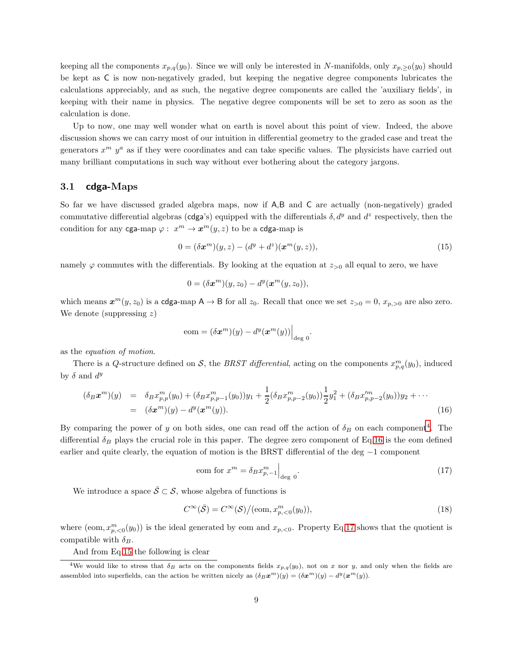keeping all the components  $x_{p,q}(y_0)$ . Since we will only be interested in N-manifolds, only  $x_{p,ge0}(y_0)$  should be kept as C is now non-negatively graded, but keeping the negative degree components lubricates the calculations appreciably, and as such, the negative degree components are called the 'auxiliary fields', in keeping with their name in physics. The negative degree components will be set to zero as soon as the calculation is done.

Up to now, one may well wonder what on earth is novel about this point of view. Indeed, the above discussion shows we can carry most of our intuition in differential geometry to the graded case and treat the generators  $x^m$   $y^a$  as if they were coordinates and can take specific values. The physicists have carried out many brilliant computations in such way without ever bothering about the category jargons.

#### <span id="page-8-0"></span>3.1 cdga-Maps

So far we have discussed graded algebra maps, now if A,B and C are actually (non-negatively) graded commutative differential algebras (cdga's) equipped with the differentials  $\delta, d^y$  and  $d^z$  respectively, then the condition for any cga-map  $\varphi: x^m \to \mathbf{x}^m(y, z)$  to be a cdga-map is

<span id="page-8-5"></span>
$$
0 = (\delta \pmb{x}^m)(y, z) - (d^y + d^z)(\pmb{x}^m(y, z)), \tag{15}
$$

namely  $\varphi$  commutes with the differentials. By looking at the equation at  $z_{>0}$  all equal to zero, we have

$$
0 = (\delta \boldsymbol{x}^m)(y, z_0) - d^y(\boldsymbol{x}^m(y, z_0)),
$$

which means  $x^m(y, z_0)$  is a cdga-map  $A \to B$  for all  $z_0$ . Recall that once we set  $z_{>0} = 0$ ,  $x_{p,>0}$  are also zero. We denote (suppressing  $z$ )

$$
eom = (\delta \boldsymbol{x}^m)(y) - d^y(\boldsymbol{x}^m(y))\Big|_{\text{deg } 0}.
$$

as the equation of motion.

There is a Q-structure defined on S, the BRST differential, acting on the components  $x_{p,q}^m(y_0)$ , induced by  $\delta$  and  $d^y$ 

<span id="page-8-3"></span>
$$
(\delta_B \mathbf{x}^m)(y) = \delta_B x_{p,p}^m(y_0) + (\delta_B x_{p,p-1}^m(y_0))y_1 + \frac{1}{2} (\delta_B x_{p,p-2}^m(y_0)) \frac{1}{2} y_1^2 + (\delta_B x_{p,p-2}^m(y_0)) y_2 + \cdots
$$
  
=  $(\delta \mathbf{x}^m)(y) - d^y(\mathbf{x}^m(y)).$  (16)

By comparing the power of y on both sides, one can read off the action of  $\delta_B$  on each component<sup>[4](#page-8-2)</sup>. The differential  $\delta_B$  plays the crucial role in this paper. The degree zero component of Eq[.16](#page-8-3) is the eom defined earlier and quite clearly, the equation of motion is the BRST differential of the deg −1 component

<span id="page-8-4"></span>
$$
eom for xm = \delta_B x_{p,-1}^m \Big|_{\text{deg } 0}.
$$
\n(17)

We introduce a space  $\overline{S} \subset S$ , whose algebra of functions is

<span id="page-8-6"></span><span id="page-8-1"></span>
$$
C^{\infty}(\bar{\mathcal{S}}) = C^{\infty}(\mathcal{S})/(\text{eom}, x_{p,<0}^{m}(y_0)),
$$
\n(18)

where  $(\text{eom}, x_{p,\leq 0}^m(y_0))$  is the ideal generated by eom and  $x_{p,\leq 0}$ . Property Eq[.17](#page-8-4) shows that the quotient is compatible with  $\delta_B$ .

And from Eq[.15](#page-8-5) the following is clear

<span id="page-8-2"></span><sup>&</sup>lt;sup>4</sup>We would like to stress that  $\delta_B$  acts on the components fields  $x_{p,q}(y_0)$ , not on x nor y, and only when the fields are assembled into superfields, can the action be written nicely as  $(\delta_B \mathbf{x}^m)(y) = (\delta \mathbf{x}^m)(y) - d^y(\mathbf{x}^m(y))$ .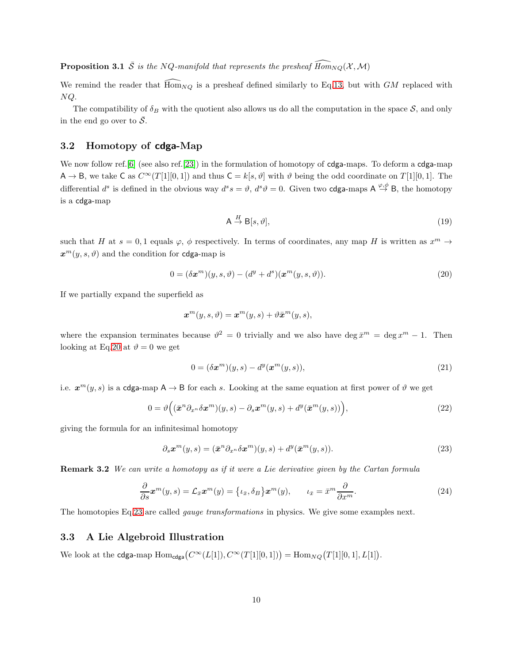**Proposition 3.1**  $\bar{S}$  is the NQ-manifold that represents the presheaf  $\widehat{Hom}_{NO}(\mathcal{X},\mathcal{M})$ 

We remind the reader that  $\overline{\text{Hom}}_{NQ}$  is a presheaf defined similarly to Eq[.13,](#page-7-1) but with GM replaced with NQ.

The compatibility of  $\delta_B$  with the quotient also allows us do all the computation in the space S, and only in the end go over to  $\overline{S}$ .

#### <span id="page-9-0"></span>3.2 Homotopy of cdga-Map

We now follow ref. [\[6\]](#page-35-6) (see also ref. [\[23\]](#page-36-9)) in the formulation of homotopy of cdga-maps. To deform a cdga-map  $A \to B$ , we take C as  $C^{\infty}(T[1][0,1])$  and thus  $C = k[s, \vartheta]$  with  $\vartheta$  being the odd coordinate on  $T[1][0,1]$ . The differential  $d^s$  is defined in the obvious way  $d^s s = \vartheta$ ,  $d^s \vartheta = 0$ . Given two **cdga**-maps  $A \stackrel{\varphi, \varphi}{\rightarrow} B$ , the homotopy is a cdga-map

<span id="page-9-5"></span>
$$
\mathsf{A} \stackrel{H}{\to} \mathsf{B}[s, \vartheta],\tag{19}
$$

such that H at  $s = 0, 1$  equals  $\varphi$ ,  $\phi$  respectively. In terms of coordinates, any map H is written as  $x^m \to$  $x^m(y, s, \vartheta)$  and the condition for cdga-map is

<span id="page-9-2"></span>
$$
0 = (\delta \boldsymbol{x}^m)(y, s, \vartheta) - (d^y + d^s)(\boldsymbol{x}^m(y, s, \vartheta)).
$$
\n(20)

If we partially expand the superfield as

$$
\boldsymbol{x}^m(y,s,\vartheta) = \boldsymbol{x}^m(y,s) + \vartheta \bar{\boldsymbol{x}}^m(y,s),
$$

where the expansion terminates because  $\vartheta^2 = 0$  trivially and we also have deg  $\bar{x}^m = \deg x^m - 1$ . Then looking at Eq[.20](#page-9-2) at  $\vartheta = 0$  we get

$$
0 = (\delta \pmb{x}^m)(y, s) - d^y(\pmb{x}^m(y, s)), \tag{21}
$$

i.e.  $x^m(y,s)$  is a cdga-map  $A \to B$  for each s. Looking at the same equation at first power of  $\vartheta$  we get

$$
0 = \vartheta\Big( (\bar{\boldsymbol{x}}^n \partial_{x^n} \delta \boldsymbol{x}^m)(y, s) - \partial_s \boldsymbol{x}^m(y, s) + d^y(\bar{\boldsymbol{x}}^m(y, s)) \Big), \tag{22}
$$

giving the formula for an infinitesimal homotopy

<span id="page-9-3"></span>
$$
\partial_s \boldsymbol{x}^m(y,s) = (\bar{\boldsymbol{x}}^n \partial_{x^n} \delta \boldsymbol{x}^m)(y,s) + d^y(\bar{\boldsymbol{x}}^m(y,s)).
$$
\n(23)

**Remark 3.2** We can write a homotopy as if it were a Lie derivative given by the Cartan formula

<span id="page-9-4"></span>
$$
\frac{\partial}{\partial s}\boldsymbol{x}^{m}(y,s) = \mathcal{L}_{\bar{x}}\boldsymbol{x}^{m}(y) = \{\iota_{\bar{x}}, \delta_{B}\} \boldsymbol{x}^{m}(y), \qquad \iota_{\bar{x}} = \bar{x}^{m} \frac{\partial}{\partial x^{m}}.
$$
\n(24)

<span id="page-9-1"></span>The homotopies Eq[.23](#page-9-3) are called *gauge transformations* in physics. We give some examples next.

#### 3.3 A Lie Algebroid Illustration

We look at the **cdga-**map  $Hom_{\text{cdga}}(C^{\infty}(L[1]), C^{\infty}(T[1][0,1])) = Hom_{NQ}(T[1][0,1], L[1]).$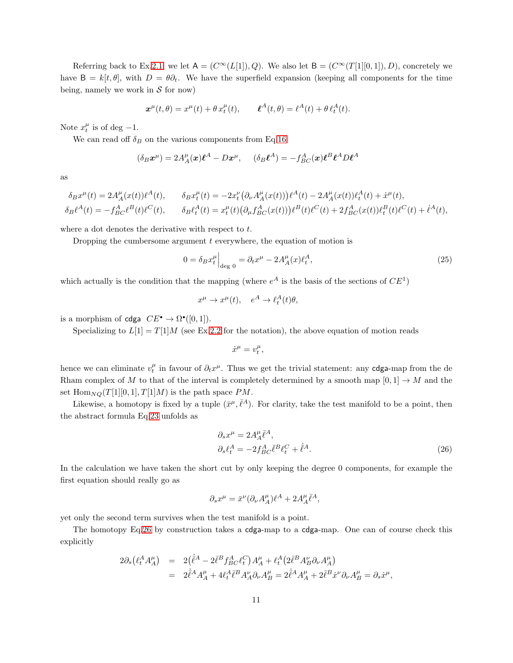Referring back to Ex[.2.1,](#page-3-2) we let  $A = (C^{\infty}(L[1]), Q)$ . We also let  $B = (C^{\infty}(T[1][0, 1]), D)$ , concretely we have  $B = k[t, \theta]$ , with  $D = \theta \partial_t$ . We have the superfield expansion (keeping all components for the time being, namely we work in  $S$  for now)

$$
\boldsymbol{x}^{\mu}(t,\theta) = x^{\mu}(t) + \theta \, x_t^{\mu}(t), \qquad \boldsymbol{\ell}^A(t,\theta) = \boldsymbol{\ell}^A(t) + \theta \, \boldsymbol{\ell}_t^A(t).
$$

Note  $x_t^{\mu}$  is of deg -1.

We can read off  $\delta_B$  on the various components from Eq[.16](#page-8-3)

$$
(\delta_B \mathbf{x}^{\mu}) = 2A_A^{\mu}(\mathbf{x})\boldsymbol{\ell}^A - D\mathbf{x}^{\mu}, \quad (\delta_B \boldsymbol{\ell}^A) = -f_{BC}^A(\mathbf{x})\boldsymbol{\ell}^B\boldsymbol{\ell}^A D\boldsymbol{\ell}^A
$$

as

$$
\begin{aligned} \delta_B x^{\mu}(t) &= 2 A^{\mu}_A(x(t)) \ell^A(t), \qquad \delta_B x^{\mu}_t(t) = -2 x^{\nu}_t \left( \partial_{\nu} A^{\mu}_A(x(t)) \right) \ell^A(t) - 2 A^{\mu}_A(x(t)) \ell^A_t(t) + \dot{x}^{\mu}(t), \\ \delta_B \ell^A(t) &= - f^A_{BC} \ell^B(t) \ell^C(t), \qquad \delta_B \ell^A_t(t) = x^{\mu}_t(t) \left( \partial_{\mu} f^A_{BC}(x(t)) \right) \ell^B(t) \ell^C(t) + 2 f^A_{BC}(x(t)) \ell^B_t(t) \ell^C(t) + \dot{\ell}^A(t), \end{aligned}
$$

where a dot denotes the derivative with respect to  $t$ .

Dropping the cumbersome argument  $t$  everywhere, the equation of motion is

<span id="page-10-1"></span>
$$
0 = \delta_B x_t^{\mu} \Big|_{\text{deg } 0} = \partial_t x^{\mu} - 2A_A^{\mu} (x) \ell_t^A, \tag{25}
$$

which actually is the condition that the mapping (where  $e^A$  is the basis of the sections of  $CE^1$ )

$$
x^{\mu} \to x^{\mu}(t), \quad e^{A} \to \ell_t^{A}(t)\theta,
$$

is a morphism of cdga  $CE^{\bullet} \rightarrow \Omega^{\bullet}([0,1])$ .

Specializing to  $L[1] = T[1]M$  (see Ex[.2.2](#page-5-0) for the notation), the above equation of motion reads

$$
\dot{x}^\mu = v_t^\mu,
$$

hence we can eliminate  $v_t^{\mu}$  in favour of  $\partial_t x^{\mu}$ . Thus we get the trivial statement: any **cdga-map** from the de Rham complex of M to that of the interval is completely determined by a smooth map  $[0,1] \rightarrow M$  and the set  $\text{Hom}_{NO}(T[1][0,1], T[1]M)$  is the path space PM.

Likewise, a homotopy is fixed by a tuple  $(\bar{x}^{\mu}, \bar{\ell}^A)$ . For clarity, take the test manifold to be a point, then the abstract formula Eq[.23](#page-9-3) unfolds as

<span id="page-10-0"></span>
$$
\partial_s x^{\mu} = 2A_A^{\mu} \bar{\ell}^A,
$$
  
\n
$$
\partial_s \ell_t^A = -2f_{BC}^A \bar{\ell}^B \ell_t^C + \dot{\bar{\ell}}^A.
$$
\n(26)

In the calculation we have taken the short cut by only keeping the degree 0 components, for example the first equation should really go as

$$
\partial_s x^{\mu} = \bar{x}^{\nu} (\partial_{\nu} A^{\mu}_A) \ell^A + 2 A^{\mu}_A \bar{\ell}^A,
$$

yet only the second term survives when the test manifold is a point.

The homotopy Eq[.26](#page-10-0) by construction takes a cdga-map to a cdga-map. One can of course check this explicitly

$$
\begin{array}{rcl} 2\partial_s\big(\ell^\mathit{A}_tA^\mu_A\big) & = & 2\big(\dot{\bar{\ell}}^\mathit{A}-2\bar{\ell}^\mathit{B}f^\mathit{A}_{BC}\ell^\mathit{C}_t\big)A^\mu_A+\ell^\mathit{A}_t\big(2\bar{\ell}^\mathit{B}A^\nu_B\partial_\nu A^\mu_A\big) \\ & = & 2\dot{\bar{\ell}}^\mathit{A}A^\mu_A+4\ell^\mathit{A}_t\bar{\ell}^\mathit{B}A^\nu_A\partial_\nu A^\mu_B=2\dot{\bar{\ell}}^\mathit{A}A^\mu_A+2\bar{\ell}^\mathit{B}\dot{x}^\nu\partial_\nu A^\mu_B=\partial_s\dot{x}^\mu, \end{array}
$$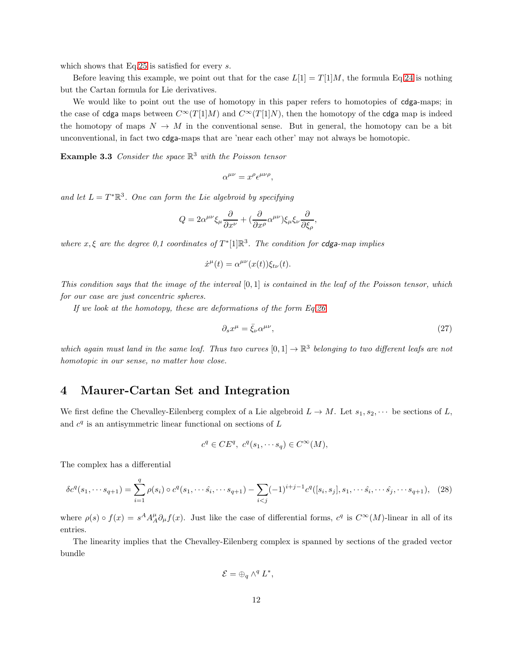which shows that Eq[.25](#page-10-1) is satisfied for every s.

Before leaving this example, we point out that for the case  $L[1] = T[1]M$ , the formula Eq[.24](#page-9-4) is nothing but the Cartan formula for Lie derivatives.

We would like to point out the use of homotopy in this paper refers to homotopies of cdga-maps; in the case of cdga maps between  $C^{\infty}(T[1]M)$  and  $C^{\infty}(T[1]N)$ , then the homotopy of the cdga map is indeed the homotopy of maps  $N \to M$  in the conventional sense. But in general, the homotopy can be a bit unconventional, in fact two cdga-maps that are 'near each other' may not always be homotopic.

**Example 3.3** Consider the space  $\mathbb{R}^3$  with the Poisson tensor

$$
\alpha^{\mu\nu} = x^{\rho} \epsilon^{\mu\nu\rho},
$$

and let  $L = T^* \mathbb{R}^3$ . One can form the Lie algebroid by specifying

$$
Q = 2\alpha^{\mu\nu}\xi_{\mu}\frac{\partial}{\partial x^{\nu}} + (\frac{\partial}{\partial x^{\rho}}\alpha^{\mu\nu})\xi_{\mu}\xi_{\nu}\frac{\partial}{\partial \xi_{\rho}},
$$

where  $x, \xi$  are the degree 0,1 coordinates of  $T^*$ [1] $\mathbb{R}^3$ . The condition for cdga-map implies

 $\dot{x}^{\mu}(t) = \alpha^{\mu\nu}(x(t))\xi_{t\nu}(t).$ 

This condition says that the image of the interval  $[0, 1]$  is contained in the leaf of the Poisson tensor, which for our case are just concentric spheres.

If we look at the homotopy, these are deformations of the form Eq[.26](#page-10-0)

$$
\partial_s x^{\mu} = \bar{\xi}_{\nu} \alpha^{\mu \nu},\tag{27}
$$

which again must land in the same leaf. Thus two curves  $[0,1] \to \mathbb{R}^3$  belonging to two different leafs are not homotopic in our sense, no matter how close.

### <span id="page-11-0"></span>4 Maurer-Cartan Set and Integration

We first define the Chevalley-Eilenberg complex of a Lie algebroid  $L \to M$ . Let  $s_1, s_2, \cdots$  be sections of L, and  $c<sup>q</sup>$  is an antisymmetric linear functional on sections of  $L$ 

$$
c^q \in CE^q, \ c^q(s_1, \cdots s_q) \in C^{\infty}(M),
$$

The complex has a differential

<span id="page-11-1"></span>
$$
\delta c^{q}(s_{1},\dots_{q+1}) = \sum_{i=1}^{q} \rho(s_{i}) \circ c^{q}(s_{1},\dots_{\hat{s}_{i}},\dots_{s_{q+1}}) - \sum_{i < j} (-1)^{i+j-1} c^{q}([s_{i}, s_{j}], s_{1},\dots_{\hat{s}_{i}},\dots_{\hat{s}_{j}},\dots_{s_{q+1}}), \tag{28}
$$

where  $\rho(s) \circ f(x) = s^A A_A^{\mu} \partial_{\mu} f(x)$ . Just like the case of differential forms,  $c^q$  is  $C^{\infty}(M)$ -linear in all of its entries.

The linearity implies that the Chevalley-Eilenberg complex is spanned by sections of the graded vector bundle

$$
\mathcal{E} = \oplus_q \wedge^q L^*,
$$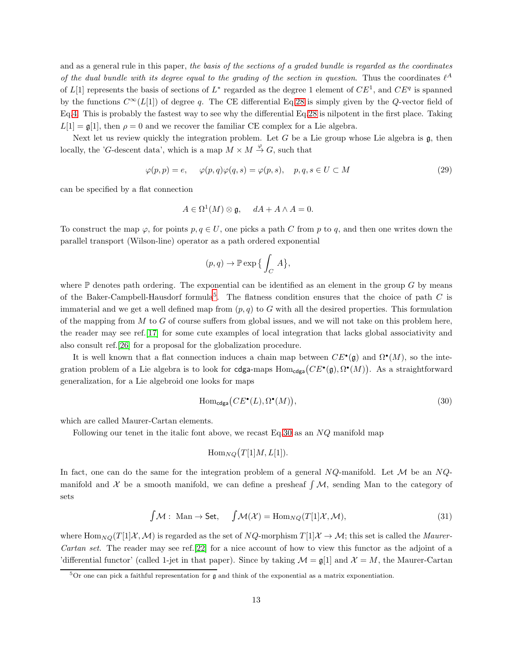and as a general rule in this paper, the basis of the sections of a graded bundle is regarded as the coordinates of the dual bundle with its degree equal to the grading of the section in question. Thus the coordinates  $\ell^A$ of  $L[1]$  represents the basis of sections of  $L^*$  regarded as the degree 1 element of  $CE^1$ , and  $CE^q$  is spanned by the functions  $C^{\infty}(L[1])$  of degree q. The CE differential Eq[.28](#page-11-1) is simply given by the Q-vector field of Eq[.4.](#page-3-3) This is probably the fastest way to see why the differential Eq[.28](#page-11-1) is nilpotent in the first place. Taking  $L[1] = \mathfrak{g}[1]$ , then  $\rho = 0$  and we recover the familiar CE complex for a Lie algebra.

Next let us review quickly the integration problem. Let G be a Lie group whose Lie algebra is  $\mathfrak{g}$ , then locally, the 'G-descent data', which is a map  $M \times M \stackrel{\varphi}{\to} G$ , such that

<span id="page-12-3"></span>
$$
\varphi(p,p) = e, \quad \varphi(p,q)\varphi(q,s) = \varphi(p,s), \quad p,q,s \in U \subset M \tag{29}
$$

can be specified by a flat connection

$$
A \in \Omega^1(M) \otimes \mathfrak{g}, \quad dA + A \wedge A = 0.
$$

To construct the map  $\varphi$ , for points  $p, q \in U$ , one picks a path C from p to q, and then one writes down the parallel transport (Wilson-line) operator as a path ordered exponential

$$
(p,q)\to \mathbb{P}\exp\big\{\int_C\,A\big\},
$$

where  $\mathbb P$  denotes path ordering. The exponential can be identified as an element in the group G by means of the Baker-Campbell-Hausdorf formula<sup>[5](#page-12-0)</sup>. The flatness condition ensures that the choice of path  $C$  is immaterial and we get a well defined map from  $(p, q)$  to G with all the desired properties. This formulation of the mapping from  $M$  to  $G$  of course suffers from global issues, and we will not take on this problem here, the reader may see ref.[\[17\]](#page-36-10) for some cute examples of local integration that lacks global associativity and also consult ref.[\[26\]](#page-36-11) for a proposal for the globalization procedure.

It is well known that a flat connection induces a chain map between  $CE^{\bullet}(\mathfrak{g})$  and  $\Omega^{\bullet}(M)$ , so the integration problem of a Lie algebra is to look for cdga-maps  $Hom_{cdga}(CE^{\bullet}(\mathfrak{g}), \Omega^{\bullet}(M))$ . As a straightforward generalization, for a Lie algebroid one looks for maps

<span id="page-12-1"></span>
$$
\text{Hom}_{\text{cdga}}(CE^{\bullet}(L), \Omega^{\bullet}(M)),\tag{30}
$$

which are called Maurer-Cartan elements.

Following our tenet in the italic font above, we recast Eq[.30](#page-12-1) as an  $NQ$  manifold map

$$
\operatorname{Hom}_{NQ}(T[1]M, L[1]).
$$

In fact, one can do the same for the integration problem of a general  $NQ$ -manifold. Let  $M$  be an  $NQ$ manifold and  $\mathcal X$  be a smooth manifold, we can define a presheaf  $\int \mathcal M$ , sending Man to the category of sets

<span id="page-12-2"></span>
$$
\int \mathcal{M}: \text{Man} \to \text{Set}, \quad \int \mathcal{M}(\mathcal{X}) = \text{Hom}_{NQ}(T[1]\mathcal{X}, \mathcal{M}), \tag{31}
$$

where  $\text{Hom}_{NO}(T[1]\mathcal{X},\mathcal{M})$  is regarded as the set of  $NQ$ -morphism  $T[1]\mathcal{X} \to \mathcal{M}$ ; this set is called the *Maurer*-Cartan set. The reader may see ref.[\[22\]](#page-36-3) for a nice account of how to view this functor as the adjoint of a 'differential functor' (called 1-jet in that paper). Since by taking  $\mathcal{M} = \mathfrak{g}[1]$  and  $\mathcal{X} = M$ , the Maurer-Cartan

<span id="page-12-0"></span> $5$ Or one can pick a faithful representation for  $\mathfrak g$  and think of the exponential as a matrix exponentiation.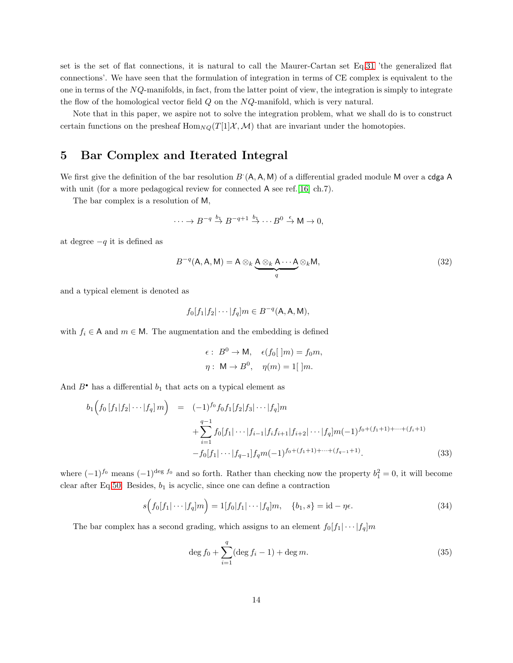set is the set of flat connections, it is natural to call the Maurer-Cartan set Eq[,31](#page-12-2) 'the generalized flat connections'. We have seen that the formulation of integration in terms of CE complex is equivalent to the one in terms of the NQ-manifolds, in fact, from the latter point of view, the integration is simply to integrate the flow of the homological vector field  $Q$  on the  $NQ$ -manifold, which is very natural.

Note that in this paper, we aspire not to solve the integration problem, what we shall do is to construct certain functions on the presheaf  $\text{Hom}_{NQ}(T[1]\mathcal{X},\mathcal{M})$  that are invariant under the homotopies.

# <span id="page-13-0"></span>5 Bar Complex and Iterated Integral

We first give the definition of the bar resolution  $B(A, A, M)$  of a differential graded module M over a cdga A with unit (for a more pedagogical review for connected A see ref. [\[16\]](#page-36-12) ch.7).

The bar complex is a resolution of M,

$$
\cdots \to B^{-q} \stackrel{b_1}{\to} B^{-q+1} \stackrel{b_1}{\to} \cdots B^0 \stackrel{\epsilon}{\to} M \to 0,
$$

at degree  $-q$  it is defined as

$$
B^{-q}(\mathbf{A}, \mathbf{A}, \mathbf{M}) = \mathbf{A} \otimes_k \underbrace{\mathbf{A} \otimes_k \mathbf{A} \cdots \mathbf{A}}_q \otimes_k \mathbf{M},
$$
\n(32)

and a typical element is denoted as

$$
f_0[f_1|f_2|\cdots|f_q]m \in B^{-q}(\mathsf{A}, \mathsf{A}, \mathsf{M}),
$$

with  $f_i \in A$  and  $m \in M$ . The augmentation and the embedding is defined

$$
\epsilon: B^{0} \to \mathsf{M}, \quad \epsilon(f_{0}[\ ]m) = f_{0}m,
$$

$$
\eta: \ \mathsf{M} \to B^{0}, \quad \eta(m) = 1[\ ]m.
$$

And  $B^{\bullet}$  has a differential  $b_1$  that acts on a typical element as

<span id="page-13-3"></span>
$$
b_1\Big(f_0\left[f_1|f_2|\cdots|f_q\right]m\Big) = (-1)^{f_0}f_0f_1[f_2|f_3|\cdots|f_q]m + \sum_{i=1}^{q-1}f_0[f_1|\cdots|f_{i-1}|f_if_{i+1}|f_{i+2}|\cdots|f_q]m(-1)^{f_0+(f_1+1)+\cdots+(f_i+1)} - f_0[f_1|\cdots|f_{q-1}]f_qm(-1)^{f_0+(f_1+1)+\cdots+(f_{q-1}+1)}.
$$
\n(33)

where  $(-1)^{f_0}$  means  $(-1)^{\deg f_0}$  and so forth. Rather than checking now the property  $b_1^2 = 0$ , it will become clear after Eq[.50.](#page-17-0) Besides,  $b_1$  is acyclic, since one can define a contraction

<span id="page-13-1"></span>
$$
s(f_0[f_1|\cdots|f_q]m) = 1[f_0[f_1|\cdots|f_q]m, \quad \{b_1, s\} = id - \eta \epsilon. \tag{34}
$$

The bar complex has a second grading, which assigns to an element  $f_0[f_1|\cdots|f_q]m$ 

<span id="page-13-2"></span>
$$
\deg f_0 + \sum_{i=1}^q (\deg f_i - 1) + \deg m. \tag{35}
$$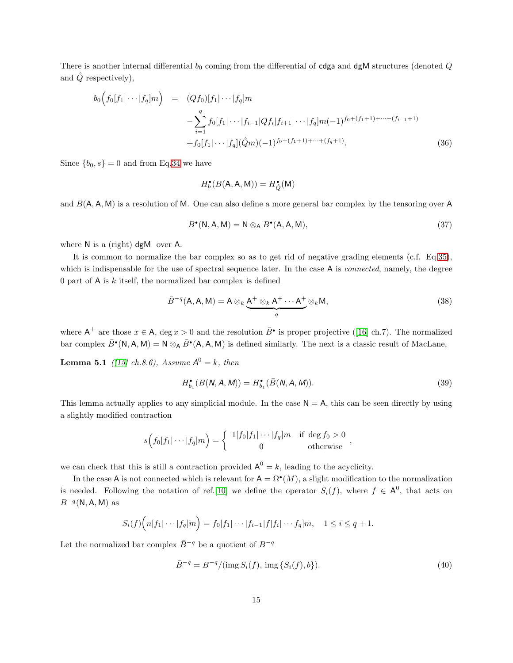There is another internal differential  $b_0$  coming from the differential of cdga and dgM structures (denoted  $Q$ and  $\hat{Q}$  respectively),

<span id="page-14-2"></span>
$$
b_0(f_0[f_1|\cdots|f_q]m) = (Qf_0)[f_1|\cdots|f_q]m
$$
  

$$
-\sum_{i=1}^q f_0[f_1|\cdots|f_{i-1}|Qf_i|f_{i+1}|\cdots|f_q]m(-1)^{f_0+(f_1+1)+\cdots+(f_{i-1}+1)}
$$
  

$$
+f_0[f_1|\cdots|f_q](\hat{Q}m)(-1)^{f_0+(f_1+1)+\cdots+(f_q+1)}.
$$
 (36)

Since  ${b_0, s} = 0$  and from Eq[.34](#page-13-1) we have

$$
H_b^\bullet(B(\mathsf{A},\mathsf{A},\mathsf{M}))=H_Q^\bullet(\mathsf{M})
$$

and  $B(A, A, M)$  is a resolution of M. One can also define a more general bar complex by the tensoring over A

$$
B^{\bullet}(\mathsf{N}, \mathsf{A}, \mathsf{M}) = \mathsf{N} \otimes_{\mathsf{A}} B^{\bullet}(\mathsf{A}, \mathsf{A}, \mathsf{M}), \tag{37}
$$

where N is a (right) dgM over A.

It is common to normalize the bar complex so as to get rid of negative grading elements (c.f. Eq[.35\)](#page-13-2), which is indispensable for the use of spectral sequence later. In the case A is *connected*, namely, the degree 0 part of  $A$  is  $k$  itself, the normalized bar complex is defined

$$
\bar{B}^{-q}(\mathsf{A}, \mathsf{A}, \mathsf{M}) = \mathsf{A} \otimes_k \underbrace{\mathsf{A}^+ \otimes_k \mathsf{A}^+ \cdots \mathsf{A}^+}_{q} \otimes_k \mathsf{M},\tag{38}
$$

where $A^+$  are those  $x \in A$ , deg  $x > 0$  and the resolution  $\bar{B}^{\bullet}$  is proper projective ([\[16\]](#page-36-12) ch.7). The normalized bar complex  $\bar{B}^{\bullet}(\mathsf{N}, \mathsf{A}, \mathsf{M}) = \mathsf{N} \otimes_{\mathsf{A}} \bar{B}^{\bullet}(\mathsf{A}, \mathsf{A}, \mathsf{M})$  is defined similarly. The next is a classic result of MacLane,

**Lemma 5.1** ([\[15\]](#page-36-13) ch.8.6), Assume  $A^0 = k$ , then

$$
H_{b_1}^{\bullet}(B(N, A, M)) = H_{b_1}^{\bullet}(\bar{B}(N, A, M)).
$$
\n(39)

<span id="page-14-1"></span>,

This lemma actually applies to any simplicial module. In the case  $N = A$ , this can be seen directly by using a slightly modified contraction

$$
s\Big(f_0[f_1|\cdots|f_q]m\Big) = \begin{cases} 1[f_0|f_1|\cdots|f_q]m & \text{if } \deg f_0 > 0\\ 0 & \text{otherwise} \end{cases}
$$

we can check that this is still a contraction provided  $A^0 = k$ , leading to the acyclicity.

In the case A is not connected which is relevant for  $A = \Omega^{\bullet}(M)$ , a slight modification to the normalization is needed. Following the notation of ref. [\[10\]](#page-35-7) we define the operator  $S_i(f)$ , where  $f \in A^0$ , that acts on  $B^{-q}(\mathsf{N}, \mathsf{A}, \mathsf{M})$  as

$$
S_i(f)\Big(n[f_1|\cdots|f_q|m\Big)=f_0[f_1|\cdots|f_{i-1}|f|f_i|\cdots f_q]m, \quad 1\leq i\leq q+1.
$$

Let the normalized bar complex  $\bar{B}^{-q}$  be a quotient of  $B^{-q}$ 

<span id="page-14-0"></span>
$$
\bar{B}^{-q} = B^{-q} / (\text{img } S_i(f), \text{ img } \{ S_i(f), b \}). \tag{40}
$$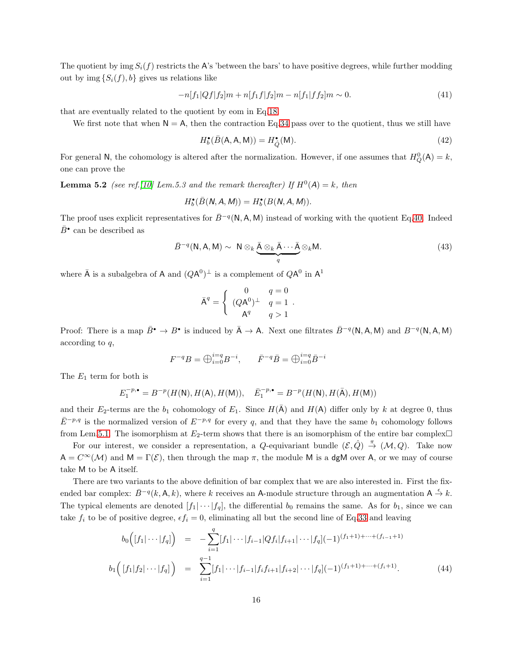The quotient by img  $S_i(f)$  restricts the A's 'between the bars' to have positive degrees, while further modding out by img  $\{S_i(f), b\}$  gives us relations like

$$
-n[f_1|Qf|f_2]m + n[f_1f|f_2]m - n[f_1|f_2]m \sim 0. \tag{41}
$$

that are eventually related to the quotient by eom in Eq[.18.](#page-8-6)

We first note that when  $N = A$ , then the contraction Eq[.34](#page-13-1) pass over to the quotient, thus we still have

<span id="page-15-1"></span>
$$
H_b^{\bullet}(\bar{B}(\mathsf{A}, \mathsf{A}, \mathsf{M})) = H_Q^{\bullet}(\mathsf{M}).\tag{42}
$$

For general N, the cohomology is altered after the normalization. However, if one assumes that  $H_Q^0(A) = k$ , one can prove the

**Lemma 5.2** (see ref. [\[10\]](#page-35-7) Lem.5.3 and the remark thereafter) If  $H^0(A) = k$ , then

$$
H_b^{\bullet}(\bar{B}(N, A, M)) = H_b^{\bullet}(B(N, A, M)).
$$

The proof uses explicit representatives for  $\bar{B}^{-q}(\mathsf{N}, \mathsf{A}, \mathsf{M})$  instead of working with the quotient Eq[.40.](#page-14-0) Indeed  $\bar{B}^{\bullet}$  can be described as

<span id="page-15-0"></span>
$$
\bar{B}^{-q}(\mathsf{N}, \mathsf{A}, \mathsf{M}) \sim \mathsf{N} \otimes_k \underbrace{\bar{\mathsf{A}} \otimes_k \bar{\mathsf{A}} \cdots \bar{\mathsf{A}}}_{q} \otimes_k \mathsf{M}. \tag{43}
$$

where  $\bar{A}$  is a subalgebra of A and  $(QA^0)^{\perp}$  is a complement of  $QA^0$  in  $A^1$ 

$$
\bar{A}^{q} = \begin{cases}\n0 & q = 0 \\
(QA^{0})^{\perp} & q = 1 \\
A^{q} & q > 1\n\end{cases}.
$$

Proof: There is a map  $\bar{B}$ <sup>•</sup>  $\to B$ <sup>•</sup> is induced by  $\bar{A} \to A$ . Next one filtrates  $\bar{B}^{-q}(N, A, M)$  and  $B^{-q}(N, A, M)$ according to q,

$$
F^{-q}B = \bigoplus_{i=0}^{i=q} B^{-i}, \qquad \bar{F}^{-q}\bar{B} = \bigoplus_{i=0}^{i=q} \bar{B}^{-i}
$$

The  $E_1$  term for both is

$$
E_1^{-p,\bullet} = B^{-p}(H(\mathsf{N}), H(\mathsf{A}), H(\mathsf{M})), \quad \bar{E}_1^{-p,\bullet} = B^{-p}(H(\mathsf{N}), H(\bar{\mathsf{A}}), H(\mathsf{M}))
$$

and their  $E_2$ -terms are the  $b_1$  cohomology of  $E_1$ . Since  $H(\overline{A})$  and  $H(A)$  differ only by k at degree 0, thus  $\bar{E}^{-p,q}$  is the normalized version of  $E^{-p,q}$  for every q, and that they have the same  $b_1$  cohomology follows from Lem[.5.1.](#page-14-1) The isomorphism at  $E_2$ -term shows that there is an isomorphism of the entire bar complex

For our interest, we consider a representation, a Q-equivariant bundle  $(\mathcal{E},\hat{Q}) \stackrel{\pi}{\rightarrow} (\mathcal{M},Q)$ . Take now  $A = C^{\infty}(\mathcal{M})$  and  $M = \Gamma(\mathcal{E})$ , then through the map  $\pi$ , the module M is a dgM over A, or we may of course take M to be A itself.

There are two variants to the above definition of bar complex that we are also interested in. First the fixended bar complex:  $\bar{B}^{-q}(k, A, k)$ , where k receives an A-module structure through an augmentation  $A \stackrel{\epsilon}{\rightarrow} k$ . The typical elements are denoted  $[f_1|\cdots|f_q]$ , the differential  $b_0$  remains the same. As for  $b_1$ , since we can take  $f_i$  to be of positive degree,  $\epsilon f_i = 0$ , eliminating all but the second line of Eq[.33](#page-13-3) and leaving

$$
b_0\Big([f_1|\cdots|f_q]\Big) = -\sum_{i=1}^q [f_1|\cdots|f_{i-1}|Qf_i|f_{i+1}|\cdots|f_q](-1)^{(f_1+1)+\cdots+(f_{i-1}+1)}
$$
  

$$
b_1\Big([f_1|f_2|\cdots|f_q]\Big) = \sum_{i=1}^{q-1} [f_1|\cdots|f_{i-1}|f_if_{i+1}|f_{i+2}|\cdots|f_q](-1)^{(f_1+1)+\cdots+(f_i+1)}.
$$
 (44)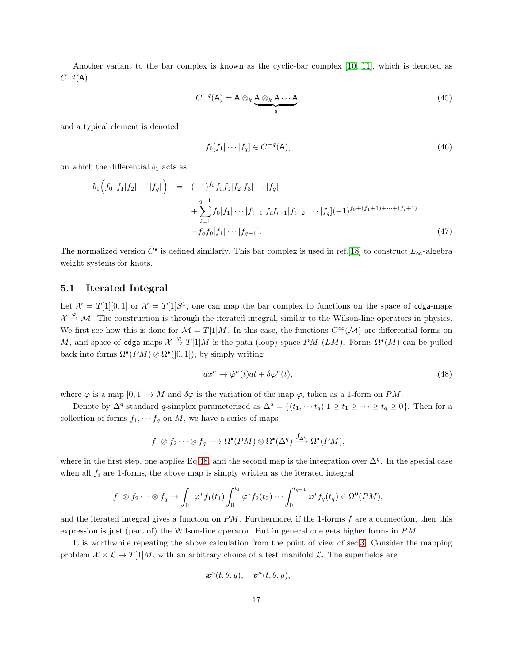Another variant to the bar complex is known as the cyclic-bar complex [\[10,](#page-35-7) [11\]](#page-35-8), which is denoted as  $C^{-q}(\mathsf{A})$ 

$$
C^{-q}(\mathsf{A}) = \mathsf{A} \otimes_k \underbrace{\mathsf{A} \otimes_k \mathsf{A} \cdots \mathsf{A}}_q,\tag{45}
$$

and a typical element is denoted

$$
f_0[f_1|\cdots|f_q] \in C^{-q}(\mathsf{A}),\tag{46}
$$

on which the differential  $b_1$  acts as

$$
b_1\left(f_0\left[f_1|f_2|\cdots|f_q\right]\right) = (-1)^{f_0} f_0 f_1[f_2|f_3|\cdots|f_q] + \sum_{i=1}^{q-1} f_0[f_1|\cdots|f_{i-1}|f_if_{i+1}|f_{i+2}|\cdots|f_q](-1)^{f_0+(f_1+1)+\cdots+(f_i+1)} - f_q f_0[f_1|\cdots|f_{q-1}].
$$
\n
$$
(47)
$$

The normalized version  $\bar{C}^{\bullet}$  is defined similarly. This bar complex is used in ref.[\[18\]](#page-36-1) to construct  $L_{\infty}$ -algebra weight systems for knots.

### <span id="page-16-0"></span>5.1 Iterated Integral

Let  $\mathcal{X} = T[1][0,1]$  or  $\mathcal{X} = T[1]S^1$ , one can map the bar complex to functions on the space of cdga-maps  $\mathcal{X} \stackrel{\varphi}{\rightarrow} \mathcal{M}$ . The construction is through the iterated integral, similar to the Wilson-line operators in physics. We first see how this is done for  $\mathcal{M} = T[1]M$ . In this case, the functions  $C^{\infty}(\mathcal{M})$  are differential forms on M, and space of cdga-maps  $\mathcal{X} \stackrel{\varphi}{\to} T[1]M$  is the path (loop) space PM (LM). Forms  $\Omega^{\bullet}(M)$  can be pulled back into forms  $\Omega^{\bullet}(PM) \otimes \Omega^{\bullet}([0,1])$ , by simply writing

<span id="page-16-1"></span>
$$
dx^{\mu} \to \dot{\varphi}^{\mu}(t)dt + \delta\varphi^{\mu}(t),\tag{48}
$$

where  $\varphi$  is a map  $[0,1] \to M$  and  $\delta\varphi$  is the variation of the map  $\varphi$ , taken as a 1-form on PM.

Denote by  $\Delta^q$  standard q-simplex parameterized as  $\Delta^q = \{(t_1, \dots, t_q) | 1 \ge t_1 \ge \dots \ge t_q \ge 0\}$ . Then for a collection of forms  $f_1, \dots, f_q$  on M, we have a series of maps

$$
f_1 \otimes f_2 \cdots \otimes f_q \longrightarrow \Omega^{\bullet}(PM) \otimes \Omega^{\bullet}(\Delta^q) \stackrel{\int_{\Delta^q}}{\longrightarrow} \Omega^{\bullet}(PM),
$$

where in the first step, one applies Eq[.48,](#page-16-1) and the second map is the integration over  $\Delta^q$ . In the special case when all  $f_i$  are 1-forms, the above map is simply written as the iterated integral

$$
f_1 \otimes f_2 \cdots \otimes f_q \to \int_0^1 \varphi^* f_1(t_1) \int_0^{t_1} \varphi^* f_2(t_2) \cdots \int_0^{t_{q-1}} \varphi^* f_q(t_q) \in \Omega^0(PM),
$$

and the iterated integral gives a function on  $PM$ . Furthermore, if the 1-forms f are a connection, then this expression is just (part of) the Wilson-line operator. But in general one gets higher forms in PM.

It is worthwhile repeating the above calculation from the point of view of sec[.3.](#page-6-0) Consider the mapping problem  $\mathcal{X} \times \mathcal{L} \rightarrow T[1]M$ , with an arbitrary choice of a test manifold  $\mathcal{L}$ . The superfields are

$$
\boldsymbol{x}^{\mu}(t,\theta,y),\quad \boldsymbol{v}^{\mu}(t,\theta,y),
$$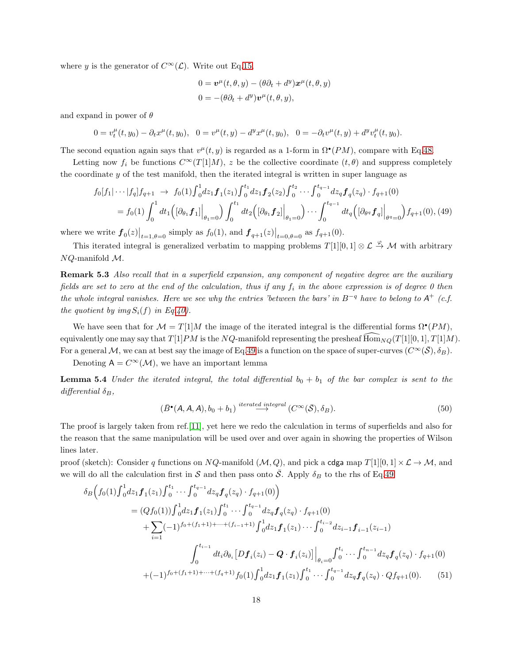where y is the generator of  $C^{\infty}(\mathcal{L})$ . Write out Eq[.15,](#page-8-5)

$$
0 = \mathbf{v}^{\mu}(t, \theta, y) - (\theta \partial_t + d^y) \mathbf{x}^{\mu}(t, \theta, y)
$$
  

$$
0 = -(\theta \partial_t + d^y) \mathbf{v}^{\mu}(t, \theta, y),
$$

and expand in power of  $\theta$ 

$$
0 = v_t^{\mu}(t, y_0) - \partial_t x^{\mu}(t, y_0), \quad 0 = v^{\mu}(t, y) - d^y x^{\mu}(t, y_0), \quad 0 = -\partial_t v^{\mu}(t, y) + d^y v_t^{\mu}(t, y_0).
$$

The second equation again says that  $v^{\mu}(t, y)$  is regarded as a 1-form in  $\Omega^{\bullet}(PM)$ , compare with Eq[.48.](#page-16-1)

Letting now  $f_i$  be functions  $C^{\infty}(T[1]M)$ , z be the collective coordinate  $(t, \theta)$  and suppress completely the coordinate y of the test manifold, then the iterated integral is written in super language as

<span id="page-17-1"></span>
$$
f_0[f_1|\cdots|f_q]f_{q+1} \to f_0(1)\int_0^1 dz_1 \mathbf{f}_1(z_1)\int_0^{t_1} dz_1 \mathbf{f}_2(z_2)\int_0^{t_2} \cdots \int_0^{t_{q-1}} dz_q \mathbf{f}_q(z_q) \cdot f_{q+1}(0)
$$
  
=  $f_0(1)\int_0^1 dt_1 \left( [\partial_{\theta_1} \mathbf{f}_1] \Big|_{\theta_1=0} \right) \int_0^{t_1} dt_2 \left( [\partial_{\theta_1} \mathbf{f}_2] \Big|_{\theta_1=0} \right) \cdots \int_0^{t_{q-1}} dt_q \left( [\partial_{\theta_q} \mathbf{f}_q] \Big|_{\theta_q=0} \right) f_{q+1}(0), (49)$ 

where we write  $f_0(z)|_{t=1,\theta=0}$  simply as  $f_0(1)$ , and  $f_{q+1}(z)|_{t=0,\theta=0}$  as  $f_{q+1}(0)$ .

<span id="page-17-2"></span>This iterated integral is generalized verbatim to mapping problems  $T[1][0,1] \otimes \mathcal{L} \stackrel{\varphi}{\rightarrow} \mathcal{M}$  with arbitrary NQ-manifold M.

**Remark 5.3** Also recall that in a superfield expansion, any component of negative degree are the auxiliary fields are set to zero at the end of the calculation, thus if any  $f_i$  in the above expression is of degree 0 then the whole integral vanishes. Here we see why the entries 'between the bars' in B<sup>-q</sup> have to belong to  $A^+$  (c.f. the quotient by img  $S_i(f)$  in Eq[.40\)](#page-14-0).

We have seen that for  $\mathcal{M} = T[1]M$  the image of the iterated integral is the differential forms  $\Omega^{\bullet}(PM)$ , equivalently one may say that  $T[1]PM$  is the NQ-manifold representing the presheaf  $\text{Hom}_{NQ}(T[1][0, 1], T[1]M)$ . For a general M, we can at best say the image of Eq[.49](#page-17-1) is a function on the space of super-curves  $(C^{\infty}(\overline{S}), \delta_B)$ .

Denoting  $A = C^{\infty}(\mathcal{M})$ , we have an important lemma

**Lemma 5.4** Under the iterated integral, the total differential  $b_0 + b_1$  of the bar complex is sent to the differential  $\delta_B$ ,

<span id="page-17-0"></span>
$$
(\bar{B}^{\bullet}(A, A, A), b_0 + b_1) \stackrel{iterated\ integral}{\rightarrow} (C^{\infty}(\bar{S}), \delta_B).
$$
 (50)

The proof is largely taken from ref.[\[11\]](#page-35-8), yet here we redo the calculation in terms of superfields and also for the reason that the same manipulation will be used over and over again in showing the properties of Wilson lines later.

proof (sketch): Consider q functions on NQ-manifold  $(M, Q)$ , and pick a cdga map  $T[1][0, 1] \times \mathcal{L} \to \mathcal{M}$ , and we will do all the calculation first in S and then pass onto  $\bar{S}$ . Apply  $\delta_B$  to the rhs of Eq[.49](#page-17-1)

$$
\delta_B \Big(f_0(1) \int_0^1 dz_1 \boldsymbol{f}_1(z_1) \int_0^{t_1} \cdots \int_0^{t_{q-1}} dz_q \boldsymbol{f}_q(z_q) \cdot f_{q+1}(0) \Big)
$$
\n
$$
= (Qf_0(1)) \int_0^1 dz_1 \boldsymbol{f}_1(z_1) \int_0^{t_1} \cdots \int_0^{t_{q-1}} dz_q \boldsymbol{f}_q(z_q) \cdot f_{q+1}(0) \cdot \int_0^{t_{i-2}} dz_1 \boldsymbol{f}_1(z_1) \cdots \int_0^{t_{i-2}} dz_{i-1} \boldsymbol{f}_{i-1}(z_{i-1})
$$
\n
$$
\int_0^{t_{i-1}} dt_i \partial_{\theta_i} \Big[ D \boldsymbol{f}_i(z_i) - \boldsymbol{Q} \cdot \boldsymbol{f}_i(z_i) \Big] \Big|_{\theta_i=0} \int_0^{t_i} \cdots \int_0^{t_{n-1}} dz_q \boldsymbol{f}_q(z_q) \cdot f_{q+1}(0) \cdot \int_0^{t_{n-1}} (-1)^{f_0 + (f_1 + 1) + \cdots + (f_q + 1)} f_0(1) \int_0^1 dz_1 \boldsymbol{f}_1(z_1) \int_0^{t_1} \cdots \int_0^{t_{q-1}} dz_q \boldsymbol{f}_q(z_q) \cdot Q f_{q+1}(0). \tag{51}
$$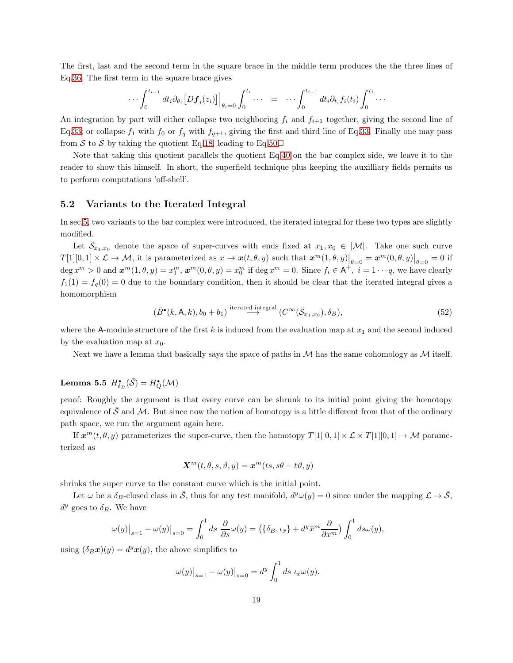The first, last and the second term in the square brace in the middle term produces the the three lines of Eq[.36.](#page-14-2) The first term in the square brace gives

$$
\cdots \int_0^{t_{i-1}} dt_i \partial_{\theta_i} [Df_i(z_i)] \Big|_{\theta_i=0} \int_0^{t_i} \cdots = \cdots \int_0^{t_{i-1}} dt_i \partial_{t_i} f_i(t_i) \int_0^{t_i} \cdots
$$

An integration by part will either collapse two neighboring  $f_i$  and  $f_{i+1}$  together, giving the second line of Eq[.33;](#page-13-3) or collapse  $f_1$  with  $f_0$  or  $f_q$  with  $f_{q+1}$ , giving the first and third line of Eq[.33.](#page-13-3) Finally one may pass from S to  $\overline{S}$  by taking the quotient Eq[.18,](#page-8-6) leading to Eq[.50](#page-17-0) $\Box$ 

Note that taking this quotient parallels the quotient Eq[.40](#page-14-0) on the bar complex side, we leave it to the reader to show this himself. In short, the superfield technique plus keeping the auxilliary fields permits us to perform computations 'off-shell'.

#### <span id="page-18-0"></span>5.2 Variants to the Iterated Integral

In sec[.5,](#page-13-0) two variants to the bar complex were introduced, the iterated integral for these two types are slightly modified.

Let  $\bar{S}_{x_1,x_0}$  denote the space of super-curves with ends fixed at  $x_1, x_0 \in |\mathcal{M}|$ . Take one such curve  $T[1][0,1] \times \mathcal{L} \to \mathcal{M}$ , it is parameterized as  $x \to \mathbf{x}(t,\theta,y)$  such that  $\mathbf{x}^m(1,\theta,y)|_{\theta=0} = \mathbf{x}^m(0,\theta,y)|_{\theta=0} = 0$  if  $\deg x^m > 0$  and  $\boldsymbol{x}^m(1,\theta,y) = x_1^m$ ,  $\boldsymbol{x}^m(0,\theta,y) = x_0^m$  if  $\deg x^m = 0$ . Since  $f_i \in \mathsf{A}^+$ ,  $i = 1 \cdots q$ , we have clearly  $f_1(1) = f_q(0) = 0$  due to the boundary condition, then it should be clear that the iterated integral gives a homomorphism

$$
(\bar{B}^{\bullet}(k, \mathsf{A}, k), b_0 + b_1) \stackrel{\text{iterated integral}}{\longrightarrow} (C^{\infty}(\bar{\mathcal{S}}_{x_1, x_0}), \delta_B), \tag{52}
$$

where the A-module structure of the first k is induced from the evaluation map at  $x_1$  and the second induced by the evaluation map at  $x_0$ .

<span id="page-18-1"></span>Next we have a lemma that basically says the space of paths in  $\mathcal M$  has the same cohomology as  $\mathcal M$  itself.

# Lemma 5.5  $H_{\delta_B}^{\bullet}(\bar{\mathcal{S}}) = H_Q^{\bullet}(\mathcal{M})$

proof: Roughly the argument is that every curve can be shrunk to its initial point giving the homotopy equivalence of  $\mathcal S$  and  $\mathcal M$ . But since now the notion of homotopy is a little different from that of the ordinary path space, we run the argument again here.

If  $x^m(t, \theta, y)$  parameterizes the super-curve, then the homotopy  $T[1][0, 1] \times \mathcal{L} \times T[1][0, 1] \rightarrow \mathcal{M}$  parameterized as

$$
\mathbf{X}^m(t,\theta,s,\vartheta,y) = \mathbf{x}^m(ts,s\theta + t\vartheta,y)
$$

shrinks the super curve to the constant curve which is the initial point.

Let  $\omega$  be a  $\delta_B$ -closed class in  $\overline{S}$ , thus for any test manifold,  $d^y \omega(y) = 0$  since under the mapping  $\mathcal{L} \to \overline{S}$ ,  $d^y$  goes to  $\delta_B$ . We have

$$
\omega(y)\big|_{s=1} - \omega(y)\big|_{s=0} = \int_0^1 ds \frac{\partial}{\partial s}\omega(y) = \left(\{\delta_B, \iota_{\bar{x}}\} + d^y \bar{x}^m \frac{\partial}{\partial x^m}\right) \int_0^1 ds \omega(y),
$$

using  $(\delta_B \mathbf{x})(y) = d^y \mathbf{x}(y)$ , the above simplifies to

$$
\omega(y)\big|_{s=1} - \omega(y)\big|_{s=0} = d^y \int_0^1 ds \, \iota_{\bar{x}} \omega(y).
$$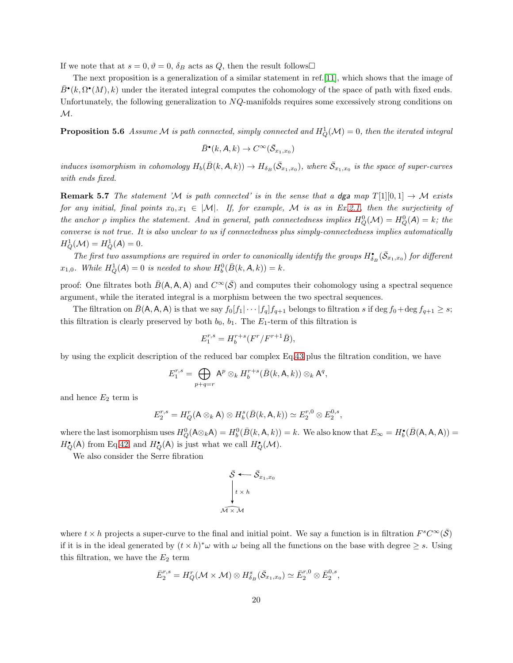If we note that at  $s = 0, \vartheta = 0$ ,  $\delta_B$  acts as Q, then the result follows  $\Box$ 

The next proposition is a generalization of a similar statement in ref.[\[11\]](#page-35-8), which shows that the image of  $\bar{B}^{\bullet}(k, \Omega^{\bullet}(M), k)$  under the iterated integral computes the cohomology of the space of path with fixed ends. Unfortunately, the following generalization to NQ-manifolds requires some excessively strong conditions on  $\mathcal{M}.$ 

<span id="page-19-0"></span>**Proposition 5.6** Assume M is path connected, simply connected and  $H_Q^1(\mathcal{M}) = 0$ , then the iterated integral

$$
\bar{B}^{\bullet}(k, A, k) \to C^{\infty}(\bar{\mathcal{S}}_{x_1, x_0})
$$

induces isomorphism in cohomology  $H_b(\bar{B}(k, A, k)) \to H_{\delta_B}(\bar{S}_{x_1,x_0})$ , where  $\bar{S}_{x_1,x_0}$  is the space of super-curves with ends fixed.

**Remark 5.7** The statement 'M is path connected' is in the sense that a dga map  $T[1][0,1] \rightarrow \mathcal{M}$  exists for any initial, final points  $x_0, x_1 \in |\mathcal{M}|$ . If, for example, M is as in Ex[.2.1,](#page-3-2) then the surjectivity of the anchor  $\rho$  implies the statement. And in general, path connectedness implies  $H_Q^0(\mathcal{M}) = H_Q^0(\mathcal{A}) = k$ ; the converse is not true. It is also unclear to us if connectedness plus simply-connectedness implies automatically  $H_Q^1(\mathcal{M}) = H_Q^1(A) = 0.$ 

The first two assumptions are required in order to canonically identify the groups  $H^{\bullet}_{\delta_B}(\bar{\mathcal{S}}_{x_1,x_0})$  for different  $x_{1,0}$ . While  $H_Q^1(A) = 0$  is needed to show  $H_b^0(\bar{B}(k, A, k)) = k$ .

proof: One filtrates both  $\bar{B}(\mathsf{A}, \mathsf{A}, \mathsf{A})$  and  $C^{\infty}(\bar{\mathcal{S}})$  and computes their cohomology using a spectral sequence argument, while the iterated integral is a morphism between the two spectral sequences.

The filtration on  $B(A, A, A)$  is that we say  $f_0[f_1|\cdots|f_q]f_{q+1}$  belongs to filtration s if deg  $f_0 + \deg f_{q+1} \geq s$ ; this filtration is clearly preserved by both  $b_0$ ,  $b_1$ . The  $E_1$ -term of this filtration is

$$
E_1^{r,s} = H_b^{r+s}(F^r/F^{r+1}\bar{B}),
$$

by using the explicit description of the reduced bar complex Eq[.43](#page-15-0) plus the filtration condition, we have

$$
E_1^{r,s} = \bigoplus_{p+q=r} A^p \otimes_k H_b^{r+s}(\bar{B}(k, \mathsf{A}, k)) \otimes_k \mathsf{A}^q,
$$

and hence  $E_2$  term is

$$
E_2^{r,s}=H_Q^r(\mathsf{A}\otimes_k\mathsf{A})\otimes H_b^s(\bar{B}(k,\mathsf{A},k))\simeq E_2^{r,0}\otimes E_2^{0,s},
$$

where the last isomorphism uses  $H_Q^0(A \otimes_k A) = H_b^0(\overline{B}(k, A, k)) = k$ . We also know that  $E_\infty = H_b^{\bullet}(\overline{B}(A, A, A)) = k$  $H_Q^{\bullet}(\mathsf{A})$  from Eq[.42,](#page-15-1) and  $H_Q^{\bullet}(\mathsf{A})$  is just what we call  $H_Q^{\bullet}(\mathcal{M})$ .

We also consider the Serre fibration

$$
\overline{\delta} \leftarrow \overline{\delta}_{x_1, x_0}
$$
\n
$$
\downarrow t \times h
$$
\n
$$
\overline{\mathcal{M} \times \mathcal{M}}
$$

where  $t \times h$  projects a super-curve to the final and initial point. We say a function is in filtration  $F^s C^\infty(\bar{S})$ if it is in the ideal generated by  $(t \times h)^*\omega$  with  $\omega$  being all the functions on the base with degree  $\geq s$ . Using this filtration, we have the  $E_2$  term

$$
\bar{E}_2^{r,s} = H^r_Q(\mathcal{M} \times \mathcal{M}) \otimes H^s_{\delta_B}(\bar{S}_{x_1,x_0}) \simeq \bar{E}_2^{r,0} \otimes \bar{E}_2^{0,s},
$$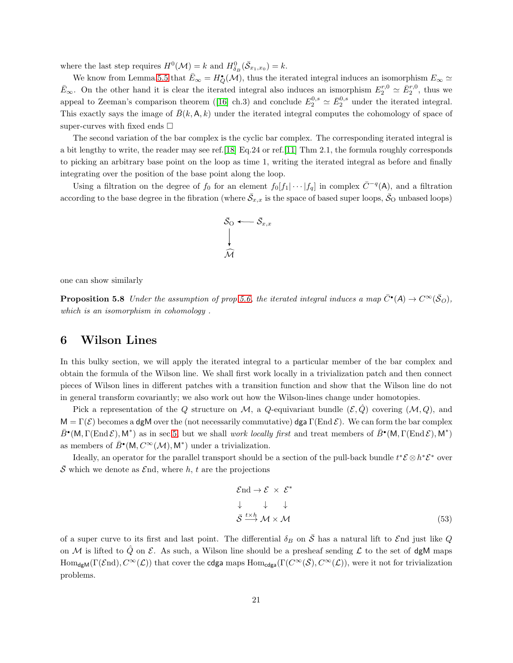where the last step requires  $H^0(\mathcal{M}) = k$  and  $H^0_{\delta_B}(\bar{S}_{x_1,x_0}) = k$ .

We know from Lemma[.5.5](#page-18-1) that  $\bar{E}_{\infty} = H^{\bullet}_{Q}(\mathcal{M})$ , thus the iterated integral induces an isomorphism  $E_{\infty} \simeq$  $\bar{E}_{\infty}$ . On the other hand it is clear the iterated integral also induces an ismorphism  $E_2^{r,0} \simeq \bar{E}_2^{r,0}$ , thus we appealto Zeeman's comparison theorem ([\[16\]](#page-36-12) ch.3) and conclude  $E_2^{0,s} \simeq \bar{E}_2^{0,s}$  under the iterated integral. This exactly says the image of  $\bar{B}(k, A, k)$  under the iterated integral computes the cohomology of space of super-curves with fixed ends  $\square$ 

The second variation of the bar complex is the cyclic bar complex. The corresponding iterated integral is a bit lengthy to write, the reader may see ref.[\[18\]](#page-36-1) Eq.24 or ref.[\[11\]](#page-35-8) Thm 2.1, the formula roughly corresponds to picking an arbitrary base point on the loop as time 1, writing the iterated integral as before and finally integrating over the position of the base point along the loop.

Using a filtration on the degree of  $f_0$  for an element  $f_0[f_1|\cdots|f_q]$  in complex  $\overline{C}^{-q}(A)$ , and a filtration according to the base degree in the fibration (where  $\bar{S}_{x,x}$  is the space of based super loops,  $\bar{S}_O$  unbased loops)



<span id="page-20-2"></span>one can show similarly

**Proposition 5.8** Under the assumption of prop[.5.6,](#page-19-0) the iterated integral induces a map  $\bar{C}^{\bullet}(A) \to C^{\infty}(\bar{S}_{O})$ , which is an isomorphism in cohomology .

## <span id="page-20-0"></span>6 Wilson Lines

In this bulky section, we will apply the iterated integral to a particular member of the bar complex and obtain the formula of the Wilson line. We shall first work locally in a trivialization patch and then connect pieces of Wilson lines in different patches with a transition function and show that the Wilson line do not in general transform covariantly; we also work out how the Wilson-lines change under homotopies.

Pick a representation of the Q structure on M, a Q-equivariant bundle  $(\mathcal{E}, \hat{Q})$  covering  $(\mathcal{M}, Q)$ , and  $M = \Gamma(\mathcal{E})$  becomes a dgM over the (not necessarily commutative) dga  $\Gamma(\text{End }\mathcal{E})$ . We can form the bar complex  $\bar{B}^{\bullet}(\mathsf{M},\Gamma(\operatorname{End}\mathcal{E}),\mathsf{M}^*)$  as in sec[.5,](#page-13-0) but we shall *work locally first* and treat members of  $\bar{B}^{\bullet}(\mathsf{M},\Gamma(\operatorname{End}\mathcal{E}),\mathsf{M}^*)$ as members of  $\bar{B}^{\bullet}(\mathsf{M}, C^{\infty}(\mathcal{M}), \mathsf{M}^*)$  under a trivialization.

Ideally, an operator for the parallel transport should be a section of the pull-back bundle  $t^*\mathcal{E} \otimes h^*\mathcal{E}^*$  over  $\overline{S}$  which we denote as  $\mathcal{E}$ nd, where h, t are the projections

<span id="page-20-1"></span>
$$
\mathcal{E} \text{nd} \to \mathcal{E} \times \mathcal{E}^*
$$
\n
$$
\downarrow \qquad \downarrow \qquad \downarrow
$$
\n
$$
\bar{\mathcal{S}} \xrightarrow{t \times h} \mathcal{M} \times \mathcal{M}
$$
\n(53)

of a super curve to its first and last point. The differential  $\delta_B$  on  $\bar{\mathcal{S}}$  has a natural lift to End just like Q on M is lifted to  $\hat{Q}$  on E. As such, a Wilson line should be a presheaf sending  $\mathcal L$  to the set of dgM maps  $\text{Hom}_{\text{dgM}}(\Gamma(\mathcal{E}\text{nd}), C^{\infty}(\mathcal{L}))$  that cover the cdga maps  $\text{Hom}_{\text{cdga}}(\Gamma(C^{\infty}(\bar{\mathcal{S}}), C^{\infty}(\mathcal{L}))$ , were it not for trivialization problems.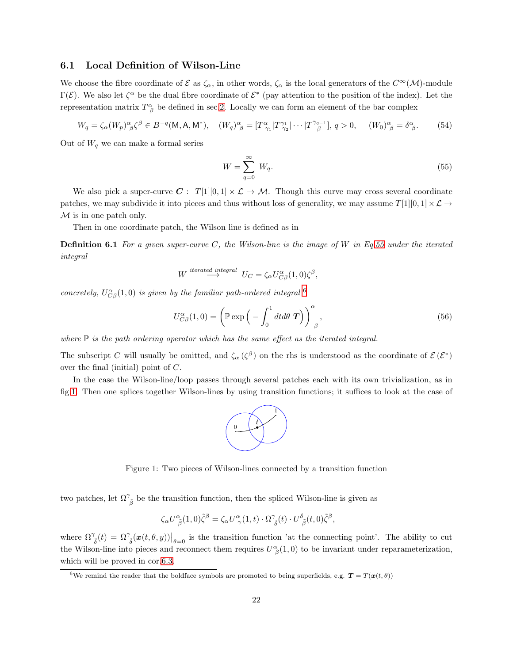#### <span id="page-21-0"></span>6.1 Local Definition of Wilson-Line

We choose the fibre coordinate of  $\mathcal E$  as  $\zeta_\alpha$ , in other words,  $\zeta_\alpha$  is the local generators of the  $C^\infty(\mathcal M)$ -module Γ(E). We also let  $\zeta^{\alpha}$  be the dual fibre coordinate of  $\mathcal{E}^*$  (pay attention to the position of the index). Let the representation matrix  $T^{\alpha}_{\beta}$  be defined in sec. 2. Locally we can form an element of the bar complex

$$
W_q = \zeta_\alpha (W_p)^\alpha_{\ \beta} \zeta^\beta \in B^{-q}(\mathsf{M}, \mathsf{A}, \mathsf{M}^*), \quad (W_q)^\alpha_{\ \beta} = [T^\alpha_{\ \gamma_1} | T^{\gamma_1}_{\ \gamma_2} | \cdots | T^{\gamma_{q-1}}] , q > 0, \quad (W_0)^\alpha_{\ \beta} = \delta^\alpha_{\ \beta}.
$$

Out of  $W_q$  we can make a formal series

<span id="page-21-1"></span>
$$
W = \sum_{q=0}^{\infty} W_q.
$$
\n<sup>(55)</sup>

We also pick a super-curve  $C: T[1][0,1] \times \mathcal{L} \rightarrow \mathcal{M}$ . Though this curve may cross several coordinate patches, we may subdivide it into pieces and thus without loss of generality, we may assume  $T[1][0,1] \times \mathcal{L} \rightarrow$  $M$  is in one patch only.

Then in one coordinate patch, the Wilson line is defined as in

**Definition 6.1** For a given super-curve C, the Wilson-line is the image of W in Eq[.55](#page-21-1) under the iterated integral

$$
W \stackrel{iterated \text{ integral}}{\longrightarrow} U_C = \zeta_\alpha U_{C\beta}^\alpha(1,0)\zeta^\beta,
$$

concretely,  $U_{C\beta}^{\alpha}(1,0)$  is given by the familiar path-ordered integral  $^6$  $^6$ 

<span id="page-21-4"></span>
$$
U_{C\beta}^{\alpha}(1,0) = \left(\mathbb{P}\exp\left(-\int_0^1 dt d\theta \, \boldsymbol{T}\right)\right)_{\beta}^{\alpha},\tag{56}
$$

where  $\mathbb P$  is the path ordering operator which has the same effect as the iterated integral.

The subscript C will usually be omitted, and  $\zeta_{\alpha}(\zeta^{\beta})$  on the rhs is understood as the coordinate of  $\mathcal{E}(\mathcal{E}^*)$ over the final (initial) point of C.

In the case the Wilson-line/loop passes through several patches each with its own trivialization, as in fig[.1.](#page-21-3) Then one splices together Wilson-lines by using transition functions; it suffices to look at the case of



<span id="page-21-3"></span>Figure 1: Two pieces of Wilson-lines connected by a transition function

two patches, let  $\Omega^{\gamma}_{\ \tilde{\beta}}$  be the transition function, then the spliced Wilson-line is given as

$$
\zeta_{\alpha}U^{\alpha}_{\ \hat{\beta}}(1,0)\tilde{\zeta}^{\tilde{\beta}} = \zeta_{\alpha}U^{\alpha}_{\ \gamma}(1,t)\cdot\Omega^{\gamma}_{\ \tilde{\delta}}(t)\cdot U^{\tilde{\delta}}_{\ \tilde{\beta}}(t,0)\tilde{\zeta}^{\tilde{\beta}},
$$

where  $\Omega^{\gamma}_{\ \tilde{\delta}}(t) = \Omega^{\gamma}_{\ \tilde{\delta}}(\boldsymbol{x}(t,\theta,y))\big|_{\theta=0}$  is the transition function 'at the connecting point'. The ability to cut the Wilson-line into pieces and reconnect them requires  $U^{\alpha}_{\beta}(1,0)$  to be invariant under reparameterization, which will be proved in cor[.6.3.](#page-26-0)

<span id="page-21-2"></span><sup>&</sup>lt;sup>6</sup>We remind the reader that the boldface symbols are promoted to being superfields, e.g.  $T = T(\boldsymbol{x}(t, \theta))$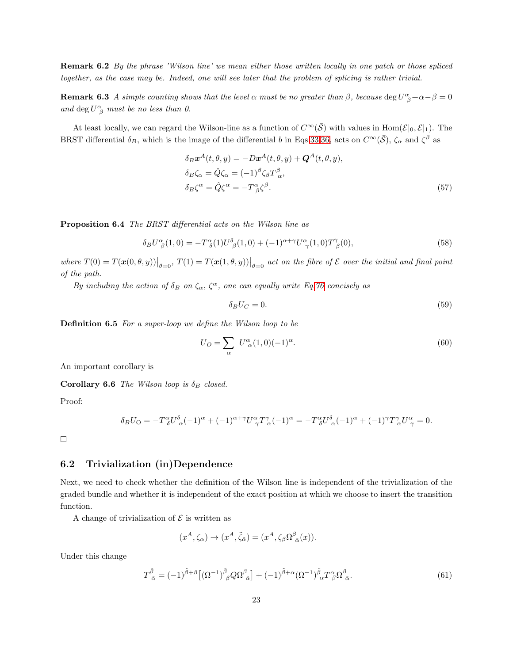**Remark 6.2** By the phrase 'Wilson line' we mean either those written locally in one patch or those spliced together, as the case may be. Indeed, one will see later that the problem of splicing is rather trivial.

**Remark 6.3** A simple counting shows that the level  $\alpha$  must be no greater than  $\beta$ , because deg  $U^{\alpha}_{\ \beta}+\alpha-\beta=0$ and deg  $U^{\alpha}_{\ \beta}$  must be no less than 0.

At least locally, we can regard the Wilson-line as a function of  $C^{\infty}(\bar{S})$  with values in Hom $(\mathcal{E}|_0, \mathcal{E}|_1)$ . The BRST differential  $\delta_B$ , which is the image of the differential b in Eqs[.33](#page-13-3)[,36,](#page-14-2) acts on  $C^{\infty}(\bar{S})$ ,  $\zeta_{\alpha}$  and  $\zeta^{\beta}$  as

$$
\delta_B \mathbf{x}^A(t, \theta, y) = -D\mathbf{x}^A(t, \theta, y) + \mathbf{Q}^A(t, \theta, y),
$$
  
\n
$$
\delta_B \zeta_\alpha = \hat{Q} \zeta_\alpha = (-1)^\beta \zeta_\beta T_\alpha^\beta,
$$
  
\n
$$
\delta_B \zeta^\alpha = \hat{Q} \zeta^\alpha = -T^\alpha_{\ \beta} \zeta^\beta.
$$
\n(57)

<span id="page-22-1"></span>Proposition 6.4 The BRST differential acts on the Wilson line as

$$
\delta_B U^{\alpha}_{\ \beta}(1,0) = -T^{\alpha}_{\ \delta}(1)U^{\delta}_{\ \beta}(1,0) + (-1)^{\alpha+\gamma}U^{\alpha}_{\ \gamma}(1,0)T^{\gamma}_{\ \beta}(0),\tag{58}
$$

where  $T(0) = T(\boldsymbol{x}(0,\theta,y))\big|_{\theta=0}$ ,  $T(1) = T(\boldsymbol{x}(1,\theta,y))\big|_{\theta=0}$  act on the fibre of  $\mathcal E$  over the initial and final point of the path.

By including the action of  $\delta_B$  on  $\zeta_\alpha$ ,  $\zeta^\alpha$ , one can equally write Eq[.76](#page-32-1) concisely as

<span id="page-22-2"></span>
$$
\delta_B U_C = 0.\t\t(59)
$$

Definition 6.5 For a super-loop we define the Wilson loop to be

<span id="page-22-3"></span>
$$
U_O = \sum_{\alpha} U^{\alpha}_{\alpha}(1,0)(-1)^{\alpha}.
$$
\n(60)

An important corollary is

Corollary 6.6 The Wilson loop is  $\delta_B$  closed.

Proof:

$$
\delta_B U_O = -T^{\alpha}_{\delta} U^{\delta}_{\alpha} (-1)^{\alpha} + (-1)^{\alpha + \gamma} U^{\alpha}_{\gamma} T^{\gamma}_{\alpha} (-1)^{\alpha} = -T^{\alpha}_{\delta} U^{\delta}_{\alpha} (-1)^{\alpha} + (-1)^{\gamma} T^{\gamma}_{\alpha} U^{\alpha}_{\gamma} = 0.
$$

<span id="page-22-0"></span> $\Box$ 

### 6.2 Trivialization (in)Dependence

Next, we need to check whether the definition of the Wilson line is independent of the trivialization of the graded bundle and whether it is independent of the exact position at which we choose to insert the transition function.

A change of trivialization of  $\mathcal E$  is written as

$$
(x^A, \zeta_\alpha) \to (x^A, \tilde{\zeta}_{\tilde{\alpha}}) = (x^A, \zeta_\beta \Omega_{\tilde{\alpha}}^\beta(x)).
$$

Under this change

$$
T^{\tilde{\beta}}_{\tilde{\alpha}} = (-1)^{\tilde{\beta}+\beta} \left[ (\Omega^{-1})^{\tilde{\beta}}_{\beta} Q \Omega^{\beta}_{\tilde{\alpha}} \right] + (-1)^{\tilde{\beta}+\alpha} (\Omega^{-1})^{\tilde{\beta}}_{\alpha} T^{\alpha}_{\beta} \Omega^{\beta}_{\tilde{\alpha}}.
$$
\n(61)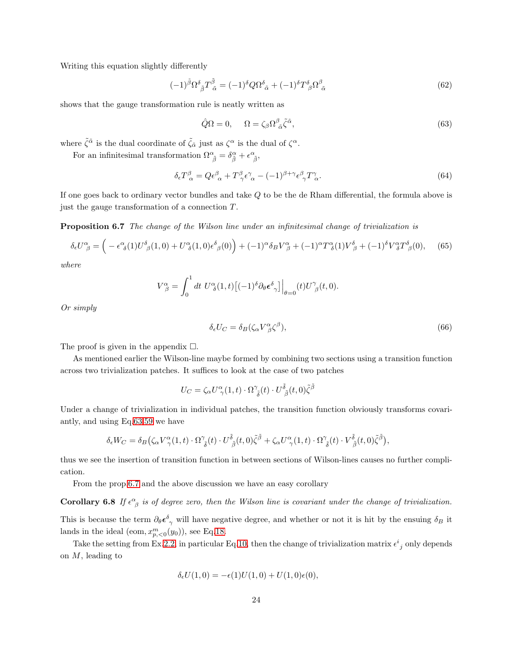Writing this equation slightly differently

<span id="page-23-4"></span>
$$
(-1)^{\tilde{\beta}} \Omega^{\delta}_{\ \tilde{\beta}} T^{\tilde{\beta}}_{\ \tilde{\alpha}} = (-1)^{\delta} Q \Omega^{\delta}_{\ \tilde{\alpha}} + (-1)^{\delta} T^{\delta}_{\ \beta} \Omega^{\beta}_{\ \tilde{\alpha}}
$$
\n
$$
(62)
$$

shows that the gauge transformation rule is neatly written as

<span id="page-23-1"></span>
$$
\hat{Q}\Omega = 0, \qquad \Omega = \zeta_{\beta}\Omega^{\beta}{}_{\tilde{\alpha}}\tilde{\zeta}^{\tilde{\alpha}},\tag{63}
$$

where  $\tilde{\zeta}^{\tilde{\alpha}}$  is the dual coordinate of  $\tilde{\zeta}_{\tilde{\alpha}}$  just as  $\zeta^{\alpha}$  is the dual of  $\zeta^{\alpha}$ .

For an infinitesimal transformation  $\Omega^{\alpha}_{\ \tilde{\beta}} = \delta^{\alpha}_{\tilde{\beta}} + \epsilon^{\alpha}_{\ \tilde{\beta}}$ ,

$$
\delta_{\epsilon} T^{\beta}_{\alpha} = Q \epsilon^{\beta}_{\alpha} + T^{\beta}_{\gamma} \epsilon^{\gamma}_{\alpha} - (-1)^{\beta + \gamma} \epsilon^{\beta}_{\gamma} T^{\gamma}_{\alpha}.
$$
\n(64)

<span id="page-23-0"></span>If one goes back to ordinary vector bundles and take Q to be the de Rham differential, the formula above is just the gauge transformation of a connection  $T$ .

Proposition 6.7 The change of the Wilson line under an infinitesimal change of trivialization is

<span id="page-23-2"></span>
$$
\delta_{\epsilon}U^{\alpha}_{\ \beta} = \left( -\epsilon^{\alpha}_{\ \delta}(1)U^{\delta}_{\ \beta}(1,0) + U^{\alpha}_{\ \delta}(1,0)\epsilon^{\delta}_{\ \beta}(0) \right) + (-1)^{\alpha}\delta_{B}V^{\alpha}_{\ \beta} + (-1)^{\alpha}T^{\alpha}_{\ \delta}(1)V^{\delta}_{\ \beta} + (-1)^{\delta}V^{\alpha}_{\ \delta}T^{\delta}_{\ \beta}(0), \tag{65}
$$

where

$$
V^{\alpha}_{\ \beta} = \int_0^1 dt \ U^{\alpha}_{\ \delta}(1,t) \left[ (-1)^{\delta} \partial_{\theta} \epsilon^{\delta}_{\ \gamma} \right] \Big|_{\theta=0} (t) U^{\gamma}_{\ \beta}(t,0).
$$

Or simply

<span id="page-23-3"></span>
$$
\delta_{\epsilon} U_C = \delta_B (\zeta_{\alpha} V^{\alpha}_{\beta} \zeta^{\beta}),\tag{66}
$$

The proof is given in the appendix  $\square$ .

As mentioned earlier the Wilson-line maybe formed by combining two sections using a transition function across two trivialization patches. It suffices to look at the case of two patches

$$
U_C = \zeta_\alpha U^\alpha_{\ \gamma}(1,t) \cdot \Omega^\gamma_{\ \tilde{\delta}}(t) \cdot U^{\tilde{\delta}}_{\ \tilde{\beta}}(t,0) \tilde{\zeta}^{\tilde{\beta}}
$$

Under a change of trivialization in individual patches, the transition function obviously transforms covariantly, and using Eq[.63,](#page-23-1)[59](#page-22-2) we have

$$
\delta_{\epsilon}W_C = \delta_B \big( \zeta_{\alpha}V^{\alpha}_{\gamma}(1,t) \cdot \Omega^{\gamma}_{\ \bar{\delta}}(t) \cdot U^{\tilde{\delta}}_{\ \bar{\beta}}(t,0) \tilde{\zeta}^{\tilde{\beta}} + \zeta_{\alpha}U^{\alpha}_{\ \gamma}(1,t) \cdot \Omega^{\gamma}_{\ \bar{\delta}}(t) \cdot V^{\tilde{\delta}}_{\ \bar{\beta}}(t,0) \tilde{\zeta}^{\tilde{\beta}} \big),
$$

thus we see the insertion of transition function in between sections of Wilson-lines causes no further complication.

From the prop[.6.7](#page-23-0) and the above discussion we have an easy corollary

**Corollary 6.8** If  $\epsilon^{\alpha}_{\beta}$  is of degree zero, then the Wilson line is covariant under the change of trivialization. This is because the term  $\partial_{\theta} \epsilon_{\gamma}^{\delta}$  will have negative degree, and whether or not it is hit by the ensuing  $\delta_B$  it lands in the ideal (eom,  $x_{p,\leq 0}^m(y_0)$ ), see Eq[.18.](#page-8-6)

Take the setting from Ex[.2.2,](#page-5-0) in particular Eq[.10,](#page-5-1) then the change of trivialization matrix  $\epsilon^{i}_{j}$  only depends on  $M$ , leading to

$$
\delta_{\epsilon}U(1,0) = -\epsilon(1)U(1,0) + U(1,0)\epsilon(0),
$$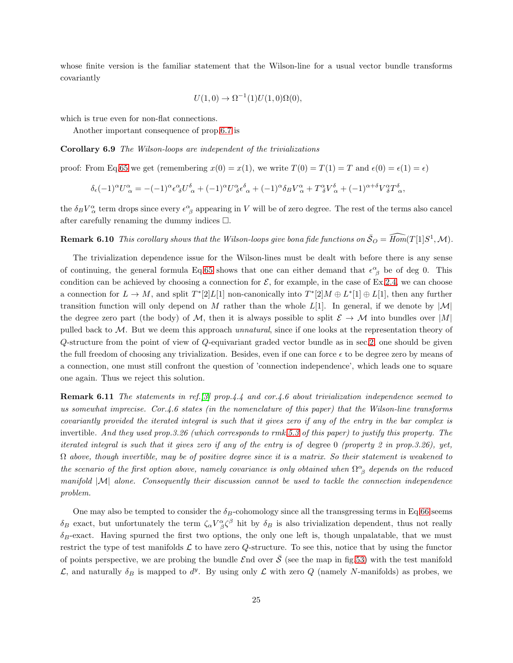whose finite version is the familiar statement that the Wilson-line for a usual vector bundle transforms covariantly

$$
U(1,0) \to \Omega^{-1}(1)U(1,0)\Omega(0),
$$

which is true even for non-flat connections.

Another important consequence of prop[.6.7](#page-23-0) is

Corollary 6.9 The Wilson-loops are independent of the trivializations

proof: From Eq[,65](#page-23-2) we get (remembering  $x(0) = x(1)$ , we write  $T(0) = T(1) = T$  and  $\epsilon(0) = \epsilon(1) = \epsilon$ )

$$
\delta_{\epsilon}(-1)^{\alpha}U^{\alpha}_{\alpha} = -(-1)^{\alpha}\epsilon^{\alpha}_{\delta}U^{\delta}_{\alpha} + (-1)^{\alpha}U^{\alpha}_{\delta}\epsilon^{\delta}_{\alpha} + (-1)^{\alpha}\delta_{B}V^{\alpha}_{\alpha} + T^{\alpha}_{\delta}V^{\delta}_{\alpha} + (-1)^{\alpha+\delta}V^{\alpha}_{\delta}T^{\delta}_{\alpha},
$$

the  $\delta_B V_\alpha^{\alpha}$  term drops since every  $\epsilon_{\ \beta}^{\alpha}$  appearing in V will be of zero degree. The rest of the terms also cancel after carefully renaming the dummy indices  $\Box$ .

**Remark 6.10** This corollary shows that the Wilson-loops give bona fide functions on  $\bar{S}_O = \widehat{Hom}(T[1]S^1, \mathcal{M})$ .

The trivialization dependence issue for the Wilson-lines must be dealt with before there is any sense of continuing, the general formula Eq[.65](#page-23-2) shows that one can either demand that  $\epsilon^{\alpha}_{\beta}$  be of deg 0. This condition can be achieved by choosing a connection for  $\mathcal{E}$ , for example, in the case of Ex[.2.4,](#page-6-1) we can choose a connection for  $L \to M$ , and split  $T^*[2]L[1]$  non-canonically into  $T^*[2]M \oplus L^*[1] \oplus L[1]$ , then any further transition function will only depend on M rather than the whole  $L[1]$ . In general, if we denote by  $|M|$ the degree zero part (the body) of M, then it is always possible to split  $\mathcal{E} \to \mathcal{M}$  into bundles over  $|M|$ pulled back to M. But we deem this approach unnatural, since if one looks at the representation theory of Q-structure from the point of view of Q-equivariant graded vector bundle as in sec[.2,](#page-3-0) one should be given the full freedom of choosing any trivialization. Besides, even if one can force  $\epsilon$  to be degree zero by means of a connection, one must still confront the question of 'connection independence', which leads one to square one again. Thus we reject this solution.

**Remark 6.11** The statements in ref.[\[3\]](#page-35-1) prop.4.4 and cor.4.6 about trivialization independence seemed to us somewhat imprecise. Cor.4.6 states (in the nomenclature of this paper) that the Wilson-line transforms covariantly provided the iterated integral is such that it gives zero if any of the entry in the bar complex is invertible. And they used prop.3.26 (which corresponds to rmk[.5.3](#page-17-2) of this paper) to justify this property. The iterated integral is such that it gives zero if any of the entry is of degree 0 (property 2 in prop.3.26), yet,  $\Omega$  above, though invertible, may be of positive degree since it is a matrix. So their statement is weakened to the scenario of the first option above, namely covariance is only obtained when  $\Omega^{\alpha}_{\ \beta}$  depends on the reduced manifold  $|M|$  alone. Consequently their discussion cannot be used to tackle the connection independence problem.

One may also be tempted to consider the  $\delta_B$ -cohomology since all the transgressing terms in Eq[.66](#page-23-3) seems  $\delta_B$  exact, but unfortunately the term  $\zeta_\alpha V^\alpha_{\beta} \zeta^\beta$  hit by  $\delta_B$  is also trivialization dependent, thus not really  $\delta_B$ -exact. Having spurned the first two options, the only one left is, though unpalatable, that we must restrict the type of test manifolds  $\mathcal L$  to have zero Q-structure. To see this, notice that by using the functor of points perspective, we are probing the bundle  $\mathcal{E}$ nd over  $\bar{\mathcal{S}}$  (see the map in fig[.53\)](#page-20-1) with the test manifold  $\mathcal{L}$ , and naturally δ<sub>B</sub> is mapped to  $d^y$ . By using only  $\mathcal{L}$  with zero Q (namely N-manifolds) as probes, we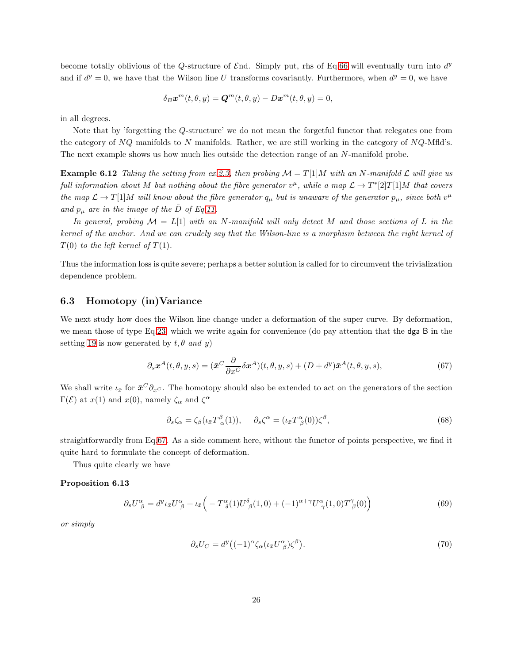become totally oblivious of the Q-structure of  $\mathcal{E}$ nd. Simply put, rhs of Eq[.66](#page-23-3) will eventually turn into  $d^y$ and if  $d^y = 0$ , we have that the Wilson line U transforms covariantly. Furthermore, when  $d^y = 0$ , we have

<span id="page-25-5"></span>
$$
\delta_B \boldsymbol{x}^m(t,\theta,y) = \boldsymbol{Q}^m(t,\theta,y) - D\boldsymbol{x}^m(t,\theta,y) = 0,
$$

in all degrees.

Note that by 'forgetting the Q-structure' we do not mean the forgetful functor that relegates one from the category of  $NQ$  manifolds to N manifolds. Rather, we are still working in the category of  $NQ$ -Mfld's. The next example shows us how much lies outside the detection range of an N-manifold probe.

**Example 6.12** Taking the setting from ex[.2.3,](#page-5-2) then probing  $\mathcal{M} = T[1]M$  with an N-manifold  $\mathcal{L}$  will give us full information about M but nothing about the fibre generator  $v^{\mu}$ , while a map  $\mathcal{L} \to T^{*}[2]T[1]M$  that covers the map  $\mathcal{L} \to T[1]M$  will know about the fibre generator  $q_\mu$  but is unaware of the generator  $p_\mu$ , since both  $v^\mu$ and  $p_{\mu}$  are in the image of the D of Eq[.11.](#page-6-2)

In general, probing  $\mathcal{M} = L[1]$  with an N-manifold will only detect M and those sections of L in the kernel of the anchor. And we can crudely say that the Wilson-line is a morphism between the right kernel of  $T(0)$  to the left kernel of  $T(1)$ .

Thus the information loss is quite severe; perhaps a better solution is called for to circumvent the trivialization dependence problem.

### <span id="page-25-0"></span>6.3 Homotopy (in)Variance

We next study how does the Wilson line change under a deformation of the super curve. By deformation, we mean those of type Eq[.23,](#page-9-3) which we write again for convenience (do pay attention that the dga B in the setting [19](#page-9-5) is now generated by  $t, \theta$  and y)

<span id="page-25-1"></span>
$$
\partial_s \mathbf{x}^A(t,\theta,y,s) = (\bar{\mathbf{x}}^C \frac{\partial}{\partial x^C} \delta \mathbf{x}^A)(t,\theta,y,s) + (D + d^y)\bar{\mathbf{x}}^A(t,\theta,y,s),\tag{67}
$$

We shall write  $\iota_{\bar{x}}$  for  $\bar{x}^C \partial_x c$ . The homotopy should also be extended to act on the generators of the section  $\Gamma(\mathcal{E})$  at  $x(1)$  and  $x(0)$ , namely  $\zeta_{\alpha}$  and  $\zeta^{\alpha}$ 

<span id="page-25-3"></span>
$$
\partial_s \zeta_\alpha = \zeta_\beta (\iota_{\bar{x}} T^\beta_{\ \alpha}(1)), \quad \partial_s \zeta^\alpha = (\iota_{\bar{x}} T^\alpha_{\ \beta}(0)) \zeta^\beta,\tag{68}
$$

straightforwardly from Eq[.67.](#page-25-1) As a side comment here, without the functor of points perspective, we find it quite hard to formulate the concept of deformation.

Thus quite clearly we have

#### Proposition 6.13

<span id="page-25-4"></span>
$$
\partial_s U^{\alpha}_{\ \beta} = d^y \iota_{\bar{x}} U^{\alpha}_{\ \beta} + \iota_{\bar{x}} \Big( -T^{\alpha}_{\ \delta}(1) U^{\delta}_{\ \beta}(1,0) + (-1)^{\alpha+\gamma} U^{\alpha}_{\ \gamma}(1,0) T^{\gamma}_{\ \beta}(0) \Big) \tag{69}
$$

or simply

<span id="page-25-2"></span>
$$
\partial_s U_C = d^y \big( (-1)^\alpha \zeta_\alpha (\iota_{\bar{x}} U^\alpha_{\ \beta}) \zeta^\beta \big). \tag{70}
$$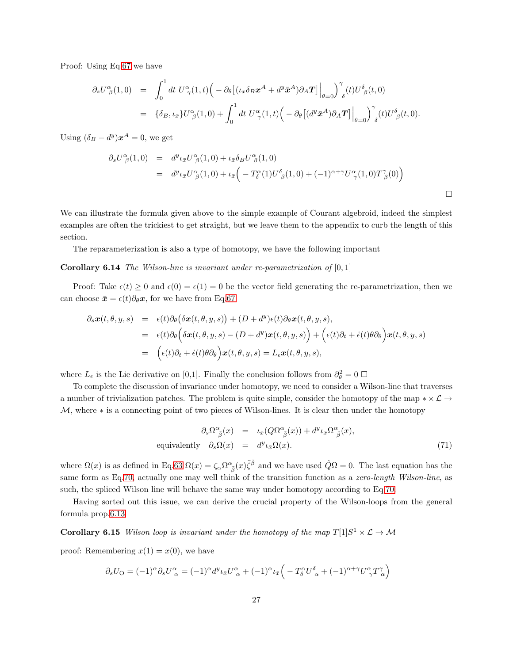Proof: Using Eq[.67](#page-25-1) we have

$$
\partial_s U^{\alpha}_{\ \beta}(1,0) = \int_0^1 dt \ U^{\alpha}_{\ \gamma}(1,t) \Big( - \partial_{\theta} \big[ (\iota_{\bar{x}} \delta_B \mathbf{x}^A + d^y \bar{\mathbf{x}}^A) \partial_A \mathbf{T} \big] \Big|_{\theta=0} \Big)_{\ \delta}^{\gamma} (t) U^{\delta}_{\ \beta}(t,0)
$$
  

$$
= \{ \delta_B, \iota_{\bar{x}} \} U^{\alpha}_{\ \beta}(1,0) + \int_0^1 dt \ U^{\alpha}_{\ \gamma}(1,t) \Big( - \partial_{\theta} \big[ (d^y \bar{\mathbf{x}}^A) \partial_A \mathbf{T} \big] \Big|_{\theta=0} \Big)_{\ \delta}^{\gamma} (t) U^{\delta}_{\ \beta}(t,0).
$$

Using  $(\delta_B - d^y)\mathbf{x}^A = 0$ , we get

<span id="page-26-0"></span>
$$
\partial_s U^{\alpha}_{\beta}(1,0) = d^y \iota_{\bar{x}} U^{\alpha}_{\beta}(1,0) + \iota_{\bar{x}} \delta_B U^{\alpha}_{\beta}(1,0)
$$
  
= 
$$
d^y \iota_{\bar{x}} U^{\alpha}_{\beta}(1,0) + \iota_{\bar{x}} \left( -T^{\alpha}_{\delta}(1) U^{\delta}_{\beta}(1,0) + (-1)^{\alpha+\gamma} U^{\alpha}_{\gamma}(1,0) T^{\gamma}_{\beta}(0) \right)
$$

We can illustrate the formula given above to the simple example of Courant algebroid, indeed the simplest examples are often the trickiest to get straight, but we leave them to the appendix to curb the length of this section.

The reparameterization is also a type of homotopy, we have the following important

#### **Corollary 6.14** The Wilson-line is invariant under re-parametrization of  $[0,1]$

Proof: Take  $\epsilon(t) \geq 0$  and  $\epsilon(0) = \epsilon(1) = 0$  be the vector field generating the re-parametrization, then we can choose  $\bar{x} = \epsilon(t)\partial_\theta x$ , for we have from Eq[.67](#page-25-1)

$$
\partial_s \mathbf{x}(t, \theta, y, s) = \epsilon(t) \partial_{\theta} (\delta \mathbf{x}(t, \theta, y, s)) + (D + d^y) \epsilon(t) \partial_{\theta} \mathbf{x}(t, \theta, y, s),
$$
  
\n
$$
= \epsilon(t) \partial_{\theta} (\delta \mathbf{x}(t, \theta, y, s) - (D + d^y) \mathbf{x}(t, \theta, y, s)) + (\epsilon(t) \partial_t + \dot{\epsilon}(t) \theta \partial_{\theta}) \mathbf{x}(t, \theta, y, s)
$$
  
\n
$$
= (\epsilon(t) \partial_t + \dot{\epsilon}(t) \theta \partial_{\theta}) \mathbf{x}(t, \theta, y, s) = L_{\epsilon} \mathbf{x}(t, \theta, y, s),
$$

where  $L_{\epsilon}$  is the Lie derivative on [0,1]. Finally the conclusion follows from  $\partial_{\theta}^{2} = 0$   $\square$ 

To complete the discussion of invariance under homotopy, we need to consider a Wilson-line that traverses a number of trivialization patches. The problem is quite simple, consider the homotopy of the map  $*\times \mathcal{L} \rightarrow$  $M$ , where  $*$  is a connecting point of two pieces of Wilson-lines. It is clear then under the homotopy

<span id="page-26-2"></span>
$$
\partial_s \Omega^{\alpha}_{\ \tilde{\beta}}(x) = \iota_{\bar{x}}(Q \Omega^{\alpha}_{\ \tilde{\beta}}(x)) + d^y \iota_{\bar{x}} \Omega^{\alpha}_{\ \tilde{\beta}}(x),
$$
  
equivalently  $\partial_s \Omega(x) = d^y \iota_{\bar{x}} \Omega(x).$  (71)

where  $\Omega(x)$  is as defined in Eq[.63](#page-23-1)  $\Omega(x) = \zeta_{\alpha} \Omega^{\alpha}{}_{\tilde{\beta}}(x) \tilde{\zeta}^{\tilde{\beta}}$  and we have used  $\hat{Q}\Omega = 0$ . The last equation has the same form as Eq[.70,](#page-25-2) actually one may well think of the transition function as a zero-length Wilson-line, as such, the spliced Wilson line will behave the same way under homotopy according to Eq[.70.](#page-25-2)

Having sorted out this issue, we can derive the crucial property of the Wilson-loops from the general formula prop[.6.13](#page-25-3)

**Corollary 6.15** Wilson loop is invariant under the homotopy of the map  $T[1]S^1 \times \mathcal{L} \rightarrow \mathcal{M}$ 

proof: Remembering  $x(1) = x(0)$ , we have

<span id="page-26-1"></span>
$$
\partial_s U_O = (-1)^\alpha \partial_s U_\alpha^\alpha = (-1)^\alpha d^y \iota_{\bar{x}} U_\alpha^\alpha + (-1)^\alpha \iota_{\bar{x}} \Big( -T_\delta^\alpha U_\alpha^\delta + (-1)^{\alpha+\gamma} U_\gamma^\alpha T_\alpha^\gamma \Big)
$$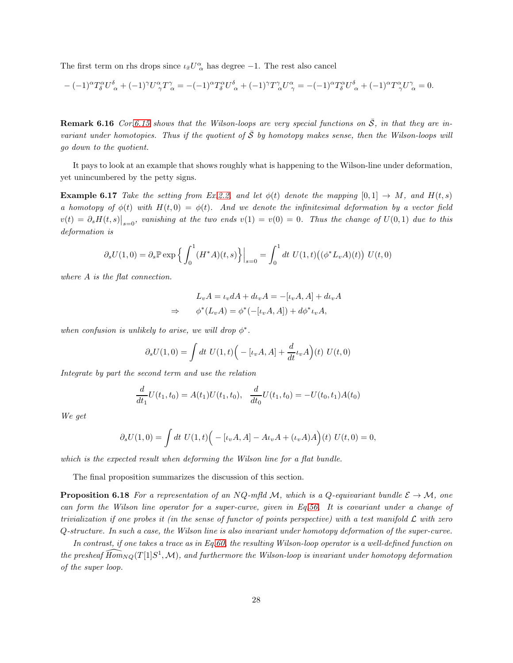The first term on rhs drops since  $\iota_{\bar{x}}U^{\alpha}_{\alpha}$  has degree -1. The rest also cancel

$$
-(-1)^{\alpha}T_{\delta}^{\alpha}U_{\alpha}^{\delta} + (-1)^{\gamma}U_{\gamma}^{\alpha}T_{\alpha}^{\gamma} = -(-1)^{\alpha}T_{\delta}^{\alpha}U_{\alpha}^{\delta} + (-1)^{\gamma}T_{\alpha}^{\gamma}U_{\gamma}^{\alpha} = -(-1)^{\alpha}T_{\delta}^{\alpha}U_{\alpha}^{\delta} + (-1)^{\alpha}T_{\gamma}^{\alpha}U_{\alpha}^{\gamma} = 0.
$$

**Remark 6.16** Cor[.6.15](#page-26-1) shows that the Wilson-loops are very special functions on  $\overline{S}$ , in that they are invariant under homotopies. Thus if the quotient of  $\bar{S}$  by homotopy makes sense, then the Wilson-loops will go down to the quotient.

It pays to look at an example that shows roughly what is happening to the Wilson-line under deformation, yet unincumbered by the petty signs.

**Example 6.17** Take the setting from Ex[.2.2,](#page-5-0) and let  $\phi(t)$  denote the mapping  $[0, 1] \rightarrow M$ , and  $H(t, s)$ a homotopy of  $\phi(t)$  with  $H(t, 0) = \phi(t)$ . And we denote the infinitesimal deformation by a vector field  $v(t) = \partial_s H(t,s)|_{s=0}$ , vanishing at the two ends  $v(1) = v(0) = 0$ . Thus the change of  $U(0,1)$  due to this deformation is

$$
\partial_s U(1,0) = \partial_s \mathbb{P} \exp \left\{ \int_0^1 (H^*A)(t,s) \right\} \Big|_{s=0} = \int_0^1 dt \ U(1,t) \big( (\phi^* L_v A)(t) \big) \ U(t,0)
$$

where A is the flat connection.

$$
L_v A = \iota_v dA + d\iota_v A = -[\iota_v A, A] + d\iota_v A
$$
  
\n
$$
\Rightarrow \phi^*(L_v A) = \phi^*(-[\iota_v A, A]) + d\phi^*\iota_v A,
$$

when confusion is unlikely to arise, we will drop  $\phi^*$ .

$$
\partial_s U(1,0) = \int dt \ U(1,t) \Big( -[\iota_v A, A] + \frac{d}{dt} \iota_v A \Big)(t) \ U(t,0)
$$

Integrate by part the second term and use the relation

$$
\frac{d}{dt_1}U(t_1, t_0) = A(t_1)U(t_1, t_0), \quad \frac{d}{dt_0}U(t_1, t_0) = -U(t_0, t_1)A(t_0)
$$

We get

$$
\partial_s U(1,0) = \int dt \ U(1,t) \Big( -[\iota_v A, A] - A \iota_v A + (\iota_v A) A \Big)(t) \ U(t,0) = 0,
$$

which is the expected result when deforming the Wilson line for a flat bundle.

The final proposition summarizes the discussion of this section.

**Proposition 6.18** For a representation of an NQ-mfld M, which is a Q-equivariant bundle  $\mathcal{E} \to \mathcal{M}$ , one can form the Wilson line operator for a super-curve, given in Eq[.56.](#page-21-4) It is covariant under a change of trivialization if one probes it (in the sense of functor of points perspective) with a test manifold  $\mathcal L$  with zero Q-structure. In such a case, the Wilson line is also invariant under homotopy deformation of the super-curve.

In contrast, if one takes a trace as in Eq[.60,](#page-22-3) the resulting Wilson-loop operator is a well-defined function on the presheaf  $\widehat{Hom}_{NQ}(T[1]S^1,\mathcal{M})$ , and furthermore the Wilson-loop is invariant under homotopy deformation of the super loop.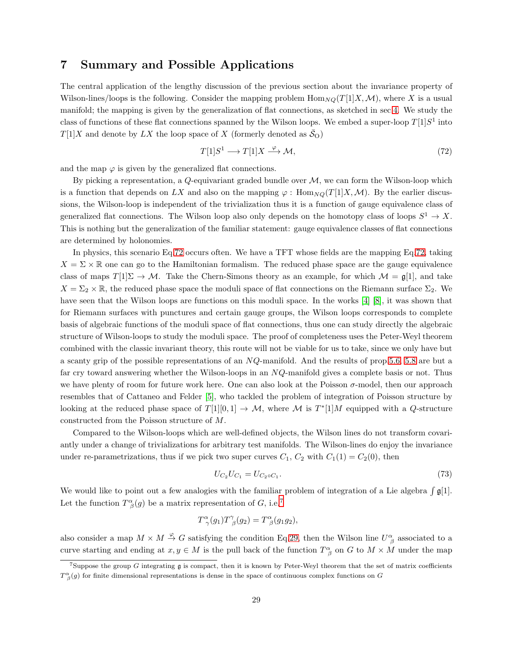## <span id="page-28-0"></span>7 Summary and Possible Applications

The central application of the lengthy discussion of the previous section about the invariance property of Wilson-lines/loops is the following. Consider the mapping problem  $\text{Hom}_{NQ}(T[1]X,\mathcal{M})$ , where X is a usual manifold; the mapping is given by the generalization of flat connections, as sketched in sec[.4.](#page-11-0) We study the class of functions of these flat connections spanned by the Wilson loops. We embed a super-loop  $T[1]S^1$  into  $T[1]X$  and denote by LX the loop space of X (formerly denoted as  $\mathcal{S}_{\text{O}}$ )

<span id="page-28-1"></span>
$$
T[1]S^1 \longrightarrow T[1]X \xrightarrow{\varphi} \mathcal{M},\tag{72}
$$

and the map  $\varphi$  is given by the generalized flat connections.

By picking a representation, a  $Q$ -equivariant graded bundle over  $M$ , we can form the Wilson-loop which is a function that depends on LX and also on the mapping  $\varphi$ : Hom<sub>NQ</sub>(T[1]X, M). By the earlier discussions, the Wilson-loop is independent of the trivialization thus it is a function of gauge equivalence class of generalized flat connections. The Wilson loop also only depends on the homotopy class of loops  $S^1 \to X$ . This is nothing but the generalization of the familiar statement: gauge equivalence classes of flat connections are determined by holonomies.

In physics, this scenario Eq[.72](#page-28-1) occurs often. We have a TFT whose fields are the mapping Eq[.72,](#page-28-1) taking  $X = \Sigma \times \mathbb{R}$  one can go to the Hamiltonian formalism. The reduced phase space are the gauge equivalence class of maps  $T[1]\Sigma \to M$ . Take the Chern-Simons theory as an example, for which  $M = \mathfrak{g}[1]$ , and take  $X = \Sigma_2 \times \mathbb{R}$ , the reduced phase space the moduli space of flat connections on the Riemann surface  $\Sigma_2$ . We have seen that the Wilson loops are functions on this moduli space. In the works [\[4\]](#page-35-4) [\[8\]](#page-35-3), it was shown that for Riemann surfaces with punctures and certain gauge groups, the Wilson loops corresponds to complete basis of algebraic functions of the moduli space of flat connections, thus one can study directly the algebraic structure of Wilson-loops to study the moduli space. The proof of completeness uses the Peter-Weyl theorem combined with the classic invariant theory, this route will not be viable for us to take, since we only have but a scanty grip of the possible representations of an NQ-manifold. And the results of prop[.5.6,](#page-19-0) [5.8](#page-20-2) are but a far cry toward answering whether the Wilson-loops in an NQ-manifold gives a complete basis or not. Thus we have plenty of room for future work here. One can also look at the Poisson  $\sigma$ -model, then our approach resembles that of Cattaneo and Felder [\[5\]](#page-35-9), who tackled the problem of integration of Poisson structure by looking at the reduced phase space of  $T[1][0,1] \to \mathcal{M}$ , where  $\mathcal M$  is  $T^*[1]M$  equipped with a Q-structure constructed from the Poisson structure of M.

Compared to the Wilson-loops which are well-defined objects, the Wilson lines do not transform covariantly under a change of trivializations for arbitrary test manifolds. The Wilson-lines do enjoy the invariance under re-parametrizations, thus if we pick two super curves  $C_1$ ,  $C_2$  with  $C_1(1) = C_2(0)$ , then

<span id="page-28-3"></span>
$$
U_{C_2}U_{C_1} = U_{C_2 \circ C_1}.\tag{73}
$$

We would like to point out a few analogies with the familiar problem of integration of a Lie algebra  $\int \mathfrak{g}[1]$ . Let the function  $T^{\alpha}_{\ \beta}(g)$  be a matrix representation of G, i.e.<sup>[7](#page-28-2)</sup>

$$
T^{\alpha}_{\gamma}(g_1)T^{\gamma}_{\beta}(g_2) = T^{\alpha}_{\beta}(g_1g_2),
$$

also consider a map  $M \times M \stackrel{\varphi}{\to} G$  satisfying the condition Eq[.29,](#page-12-3) then the Wilson line  $U^{\alpha}_{\ \beta}$  associated to a curve starting and ending at  $x, y \in M$  is the pull back of the function  $T^{\alpha}_{\beta}$  on G to  $M \times M$  under the map

<span id="page-28-2"></span> $7$ Suppose the group  $G$  integrating  $g$  is compact, then it is known by Peter-Weyl theorem that the set of matrix coefficients  $T^{\alpha}_{\beta}(g)$  for finite dimensional representations is dense in the space of continuous complex functions on G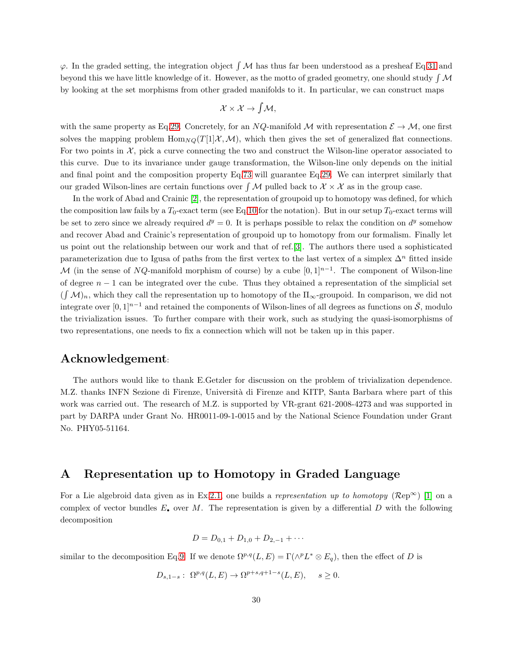$\varphi$ . In the graded setting, the integration object  $\beta$  M has thus far been understood as a presheaf Eq[.31](#page-12-2) and beyond this we have little knowledge of it. However, as the motto of graded geometry, one should study  $\int M$ by looking at the set morphisms from other graded manifolds to it. In particular, we can construct maps

$$
\mathcal{X} \times \mathcal{X} \to \int \mathcal{M},
$$

with the same property as Eq[.29.](#page-12-3) Concretely, for an NQ-manifold M with representation  $\mathcal{E} \to \mathcal{M}$ , one first solves the mapping problem  $\text{Hom}_{NO}(T[1]\mathcal{X},\mathcal{M})$ , which then gives the set of generalized flat connections. For two points in  $X$ , pick a curve connecting the two and construct the Wilson-line operator associated to this curve. Due to its invariance under gauge transformation, the Wilson-line only depends on the initial and final point and the composition property Eq[.73](#page-28-3) will guarantee Eq[.29.](#page-12-3) We can interpret similarly that our graded Wilson-lines are certain functions over  $\int M$  pulled back to  $\mathcal{X} \times \mathcal{X}$  as in the group case.

In the work of Abad and Crainic [\[2\]](#page-35-10), the representation of groupoid up to homotopy was defined, for which the composition law fails by a  $T_0$ -exact term (see Eq[.10](#page-5-1) for the notation). But in our setup  $T_0$ -exact terms will be set to zero since we already required  $d<sup>y</sup> = 0$ . It is perhaps possible to relax the condition on  $d<sup>y</sup>$  somehow and recover Abad and Crainic's representation of groupoid up to homotopy from our formalism. Finally let us point out the relationship between our work and that of ref.[\[3\]](#page-35-1). The authors there used a sophisticated parameterization due to Igusa of paths from the first vertex to the last vertex of a simplex  $\Delta^n$  fitted inside M (in the sense of NQ-manifold morphism of course) by a cube  $[0,1]^{n-1}$ . The component of Wilson-line of degree  $n - 1$  can be integrated over the cube. Thus they obtained a representation of the simplicial set  $(\int \mathcal{M})_n$ , which they call the representation up to homotopy of the  $\Pi_{\infty}$ -groupoid. In comparison, we did not integrate over  $[0,1]^{n-1}$  and retained the components of Wilson-lines of all degrees as functions on  $\bar{S}$ , modulo the trivialization issues. To further compare with their work, such as studying the quasi-isomorphisms of two representations, one needs to fix a connection which will not be taken up in this paper.

## Acknowledgement:

The authors would like to thank E.Getzler for discussion on the problem of trivialization dependence. M.Z. thanks INFN Sezione di Firenze, Università di Firenze and KITP, Santa Barbara where part of this work was carried out. The research of M.Z. is supported by VR-grant 621-2008-4273 and was supported in part by DARPA under Grant No. HR0011-09-1-0015 and by the National Science Foundation under Grant No. PHY05-51164.

## <span id="page-29-0"></span>A Representation up to Homotopy in Graded Language

For a Lie algebroid data given as in Ex[.2.1,](#page-3-2) one builds a representation up to homotopy ( $\mathcal{R}ep^{\infty}$ ) [\[1\]](#page-35-0) on a complex of vector bundles  $E_{\bullet}$  over M. The representation is given by a differential D with the following decomposition

$$
D = D_{0,1} + D_{1,0} + D_{2,-1} + \cdots
$$

similar to the decomposition Eq[.9.](#page-4-2) If we denote  $\Omega^{p,q}(L,E) = \Gamma(\wedge^p L^* \otimes E_q)$ , then the effect of D is

$$
D_{s,1-s}: \ \Omega^{p,q}(L,E) \to \Omega^{p+s,q+1-s}(L,E), \quad s \ge 0.
$$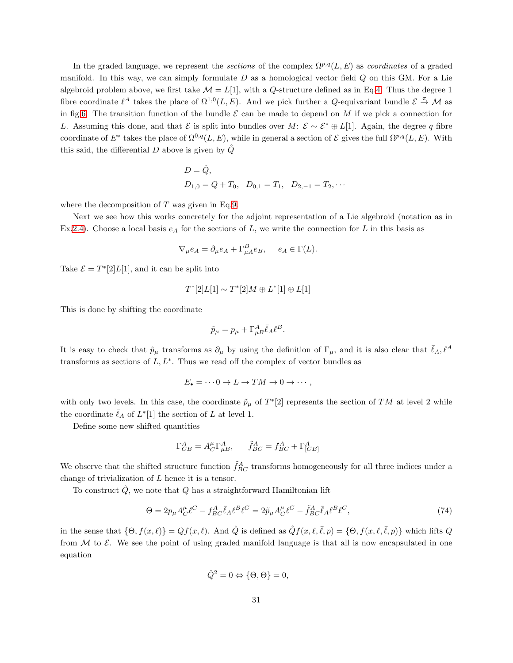In the graded language, we represent the sections of the complex  $\Omega^{p,q}(L, E)$  as coordinates of a graded manifold. In this way, we can simply formulate  $D$  as a homological vector field  $Q$  on this GM. For a Lie algebroid problem above, we first take  $\mathcal{M} = L[1]$ , with a Q-structure defined as in Eq[.4.](#page-3-3) Thus the degree 1 fibre coordinate  $\ell^A$  takes the place of  $\Omega^{1,0}(L,E)$ . And we pick further a Q-equivariant bundle  $\mathcal{E} \stackrel{\pi}{\to} \mathcal{M}$  as in fig[.6.](#page-4-3) The transition function of the bundle  $\mathcal E$  can be made to depend on M if we pick a connection for L. Assuming this done, and that E is split into bundles over M:  $\mathcal{E} \sim \mathcal{E}^* \oplus L[1]$ . Again, the degree q fibre coordinate of  $E^*$  takes the place of  $\Omega^{0,q}(L,E)$ , while in general a section of  $\mathcal E$  gives the full  $\Omega^{p,q}(L,E)$ . With this said, the differential D above is given by  $\hat{Q}$ 

$$
D = \hat{Q},
$$
  
  $D_{1,0} = Q + T_0, \quad D_{0,1} = T_1, \quad D_{2,-1} = T_2, \cdots$ 

where the decomposition of  $T$  was given in Eq[.9.](#page-4-2)

Next we see how this works concretely for the adjoint representation of a Lie algebroid (notation as in Ex[.2.4\)](#page-6-1). Choose a local basis  $e_A$  for the sections of L, we write the connection for L in this basis as

$$
\nabla_{\mu} e_A = \partial_{\mu} e_A + \Gamma_{\mu A}^B e_B, \quad e_A \in \Gamma(L).
$$

Take  $\mathcal{E} = T^*[2]L[1]$ , and it can be split into

$$
T^*[2]L[1] \sim T^*[2]M \oplus L^*[1] \oplus L[1]
$$

This is done by shifting the coordinate

$$
\tilde{p}_{\mu} = p_{\mu} + \Gamma_{\mu B}^{A} \bar{\ell}_{A} \ell^{B}.
$$

It is easy to check that  $\tilde{p}_{\mu}$  transforms as  $\partial_{\mu}$  by using the definition of  $\Gamma_{\mu}$ , and it is also clear that  $\bar{\ell}_A$ ,  $\ell^A$ transforms as sections of  $L, L^*$ . Thus we read off the complex of vector bundles as

$$
E_{\bullet} = \cdots 0 \to L \to TM \to 0 \to \cdots,
$$

with only two levels. In this case, the coordinate  $\tilde{p}_{\mu}$  of  $T^*[2]$  represents the section of TM at level 2 while the coordinate  $\bar{\ell}_A$  of  $L^*[1]$  the section of L at level 1.

Define some new shifted quantities

$$
\Gamma^A_{CB} = A^{\mu}_C \Gamma^A_{\mu B}, \qquad \tilde{f}^A_{BC} = f^A_{BC} + \Gamma^A_{[CB]}
$$

We observe that the shifted structure function  $\tilde{f}_{BC}^A$  transforms homogeneously for all three indices under a change of trivialization of L hence it is a tensor.

To construct  $Q$ , we note that  $Q$  has a straightforward Hamiltonian lift

<span id="page-30-0"></span>
$$
\Theta = 2p_{\mu}A_{C}^{\mu}\ell^{C} - f_{BC}^{A}\bar{\ell}_{A}\ell^{B}\ell^{C} = 2\tilde{p}_{\mu}A_{C}^{\mu}\ell^{C} - \tilde{f}_{BC}^{A}\bar{\ell}_{A}\ell^{B}\ell^{C},\tag{74}
$$

in the sense that  $\{\Theta, f(x,\ell)\} = Qf(x,\ell)$ . And  $\hat{Q}$  is defined as  $\hat{Q}f(x,\ell,\bar{\ell},p) = \{\Theta, f(x,\ell,\bar{\ell},p)\}\$  which lifts  $Q$ from  $M$  to  $\mathcal{E}$ . We see the point of using graded manifold language is that all is now encapsulated in one equation

$$
\hat{Q}^2 = 0 \Leftrightarrow {\Theta, \Theta} = 0,
$$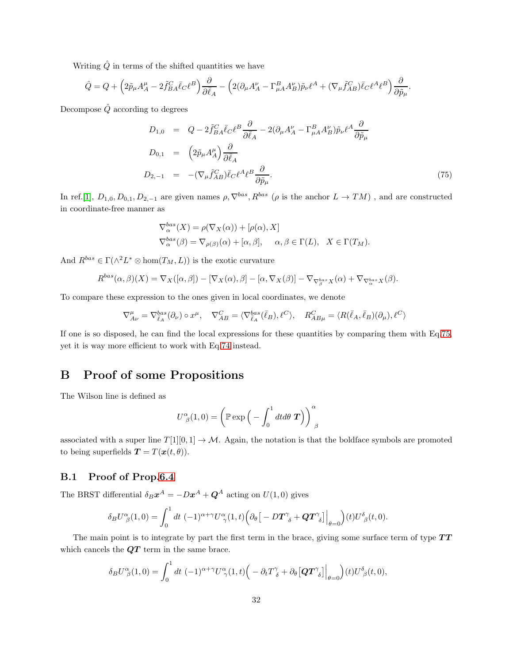Writing  $\hat{Q}$  in terms of the shifted quantities we have

$$
\hat{Q} = Q + \left(2\tilde{p}_{\mu}A^{\mu}_{A} - 2\tilde{f}^{C}_{BA}\bar{\ell}_{C}\ell^{B}\right)\frac{\partial}{\partial\bar{\ell}_{A}} - \left(2(\partial_{\mu}A^{\nu}_{A} - \Gamma^{B}_{\mu A}A^{\nu}_{B})\tilde{p}_{\nu}\ell^{A} + (\nabla_{\mu}\tilde{f}^{C}_{AB})\bar{\ell}_{C}\ell^{A}\ell^{B}\right)\frac{\partial}{\partial\tilde{p}_{\mu}}.
$$

Decompose  $\hat{Q}$  according to degrees

<span id="page-31-2"></span>
$$
D_{1,0} = Q - 2\tilde{f}_{BA}^{C} \bar{\ell}_{C} \ell^{B} \frac{\partial}{\partial \bar{\ell}_{A}} - 2(\partial_{\mu}A_{A}^{\nu} - \Gamma_{\mu A}^{B} A_{B}^{\nu}) \tilde{p}_{\nu} \ell^{A} \frac{\partial}{\partial \tilde{p}_{\mu}}
$$
  
\n
$$
D_{0,1} = (2\tilde{p}_{\mu}A_{A}^{\mu}) \frac{\partial}{\partial \bar{\ell}_{A}}
$$
  
\n
$$
D_{2,-1} = -(\nabla_{\mu} \tilde{f}_{AB}^{C}) \bar{\ell}_{C} \ell^{A} \ell^{B} \frac{\partial}{\partial \tilde{p}_{\mu}}.
$$
\n(75)

In ref.[\[1\]](#page-35-0),  $D_{1,0}, D_{0,1}, D_{2,-1}$  are given names  $\rho, \nabla^{bas}, R^{bas}$  ( $\rho$  is the anchor  $L \to TM$ ), and are constructed in coordinate-free manner as

$$
\nabla_{\alpha}^{bas}(X) = \rho(\nabla_X(\alpha)) + [\rho(\alpha), X]
$$
  
\n
$$
\nabla_{\alpha}^{bas}(\beta) = \nabla_{\rho(\beta)}(\alpha) + [\alpha, \beta], \quad \alpha, \beta \in \Gamma(L), \quad X \in \Gamma(T_M).
$$

And  $R^{bas} \in \Gamma(\wedge^2 L^* \otimes \text{hom}(T_M, L))$  is the exotic curvature

$$
R^{bas}(\alpha,\beta)(X) = \nabla_X([\alpha,\beta]) - [\nabla_X(\alpha),\beta] - [\alpha,\nabla_X(\beta)] - \nabla_{\nabla_{\beta}^{bas}X}(\alpha) + \nabla_{\nabla_{\alpha}^{bas}X}(\beta).
$$

To compare these expression to the ones given in local coordinates, we denote

$$
\nabla_{A\nu}^{\mu} = \nabla_{\bar{\ell}_A}^{bas}(\partial_{\nu}) \circ x^{\mu}, \quad \nabla_{AB}^{C} = \langle \nabla_{\bar{\ell}_A}^{bas}(\bar{\ell}_B), \ell^C \rangle, \quad R_{AB\mu}^{C} = \langle R(\bar{\ell}_A, \bar{\ell}_B)(\partial_{\mu}), \ell^C \rangle
$$

If one is so disposed, he can find the local expressions for these quantities by comparing them with Eq[.75,](#page-31-2) yet it is way more efficient to work with Eq[.74](#page-30-0) instead.

# <span id="page-31-0"></span>B Proof of some Propositions

The Wilson line is defined as

$$
U^{\alpha}_{\ \beta}(1,0) = \left(\mathbb{P} \exp\Big(-\int_0^1 dt d\theta \; \boldsymbol{T}\Big)\right)^{\alpha}_{\ \beta}
$$

associated with a super line  $T[1][0,1] \rightarrow M$ . Again, the notation is that the boldface symbols are promoted to being superfields  $\mathbf{T} = T(\boldsymbol{x}(t, \theta)).$ 

### <span id="page-31-1"></span>B.1 Proof of Prop[.6.4](#page-22-1)

The BRST differential  $\delta_B \boldsymbol{x}^A = -D \boldsymbol{x}^A + \boldsymbol{Q}^A$  acting on  $U(1,0)$  gives

$$
\delta_B U^{\alpha}_{\ \beta}(1,0) = \int_0^1 dt \; (-1)^{\alpha+\gamma} U^{\alpha}_{\ \gamma}(1,t) \Big( \partial_{\theta} \big[ -D \boldsymbol{T}^{\gamma}_{\ \delta} + \boldsymbol{Q} \boldsymbol{T}^{\gamma}_{\ \delta} \big] \Big|_{\theta=0} \Big) (t) U^{\delta}_{\ \beta}(t,0).
$$

The main point is to integrate by part the first term in the brace, giving some surface term of type  $TT$ which cancels the  $\mathbf{Q}T$  term in the same brace.

$$
\delta_B U^{\alpha}_{\ \beta}(1,0) = \int_0^1 dt \, (-1)^{\alpha+\gamma} U^{\alpha}_{\ \gamma}(1,t) \Big( -\partial_t T^{\gamma}_{\ \delta} + \partial_{\theta} \big[ \mathbf{QT}^{\gamma}_{\ \delta} \big] \Big|_{\theta=0} \Big) (t) U^{\delta}_{\ \beta}(t,0),
$$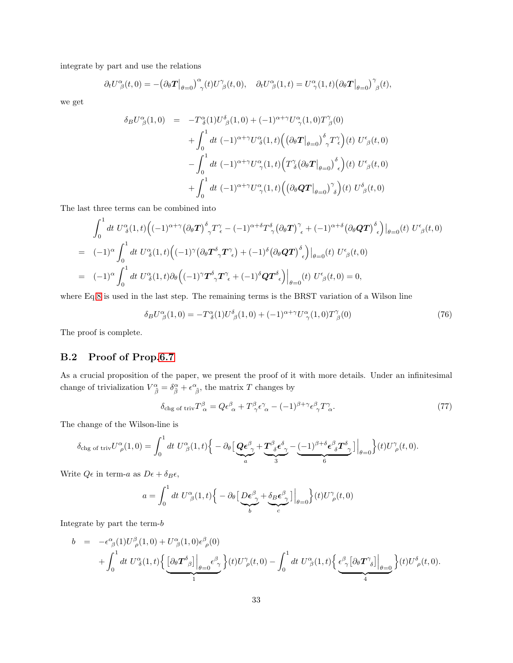integrate by part and use the relations

$$
\partial_t U^{\alpha}_{\ \beta}(t,0) = -(\partial_{\theta} T|_{\theta=0})^{\alpha}_{\ \gamma}(t) U^{\gamma}_{\ \beta}(t,0), \quad \partial_t U^{\alpha}_{\ \beta}(1,t) = U^{\alpha}_{\ \gamma}(1,t) (\partial_{\theta} T|_{\theta=0})^{\gamma}_{\ \beta}(t),
$$

we get

$$
\delta_B U^{\alpha}_{\ \beta}(1,0) = -T^{\alpha}_{\ \delta}(1)U^{\delta}_{\ \beta}(1,0) + (-1)^{\alpha+\gamma}U^{\alpha}_{\ \gamma}(1,0)T^{\gamma}_{\ \beta}(0) \n+ \int_0^1 dt \ (-1)^{\alpha+\gamma}U^{\alpha}_{\ \delta}(1,t) \Big( \left(\partial_{\theta}T\big|_{\theta=0}\right)^{\delta}_{\ \gamma}T^{\gamma}_{\ \epsilon} \Big)(t) \ U^{\epsilon}_{\ \beta}(t,0) \n- \int_0^1 dt \ (-1)^{\alpha+\gamma}U^{\alpha}_{\ \gamma}(1,t) \Big( T^{\gamma}_{\ \delta}\big(\partial_{\theta}T\big|_{\theta=0}\big)^{\delta}_{\ \epsilon} \Big)(t) \ U^{\epsilon}_{\ \beta}(t,0) \n+ \int_0^1 dt \ (-1)^{\alpha+\gamma}U^{\alpha}_{\ \gamma}(1,t) \Big( \big(\partial_{\theta}QT\big|_{\theta=0}\big)^{\gamma}_{\ \delta} \Big)(t) \ U^{\delta}_{\ \beta}(t,0)
$$

The last three terms can be combined into

$$
\int_0^1 dt \ U^{\alpha}_{\delta}(1,t) \Big( (-1)^{\alpha+\gamma} (\partial_{\theta} \mathbf{T})^{\delta}_{\gamma} T^{\gamma}_{\epsilon} - (-1)^{\alpha+\delta} T^{\delta}_{\gamma} (\partial_{\theta} \mathbf{T})^{\gamma}_{\epsilon} + (-1)^{\alpha+\delta} (\partial_{\theta} \mathbf{Q} \mathbf{T})^{\delta}_{\epsilon} \Big) \Big|_{\theta=0}(t) \ U^{\epsilon}_{\beta}(t,0)
$$
  
\n
$$
= (-1)^{\alpha} \int_0^1 dt \ U^{\alpha}_{\delta}(1,t) \Big( (-1)^{\gamma} (\partial_{\theta} \mathbf{T}^{\delta}_{\gamma} \mathbf{T}^{\gamma}_{\epsilon}) + (-1)^{\delta} (\partial_{\theta} \mathbf{Q} \mathbf{T})^{\delta}_{\epsilon} \Big) \Big|_{\theta=0}(t) \ U^{\epsilon}_{\beta}(t,0)
$$
  
\n
$$
= (-1)^{\alpha} \int_0^1 dt \ U^{\alpha}_{\delta}(1,t) \partial_{\theta} \Big( (-1)^{\gamma} \mathbf{T}^{\delta}_{\gamma} \mathbf{T}^{\gamma}_{\epsilon} + (-1)^{\delta} \mathbf{Q} \mathbf{T}^{\delta}_{\epsilon} \Big) \Big|_{\theta=0}(t) \ U^{\epsilon}_{\beta}(t,0) = 0,
$$

where Eq[.8](#page-4-1) is used in the last step. The remaining terms is the BRST variation of a Wilson line

<span id="page-32-1"></span>
$$
\delta_B U^{\alpha}_{\ \beta}(1,0) = -T^{\alpha}_{\ \delta}(1) U^{\delta}_{\ \beta}(1,0) + (-1)^{\alpha+\gamma} U^{\alpha}_{\ \gamma}(1,0) T^{\gamma}_{\ \beta}(0) \tag{76}
$$

<span id="page-32-0"></span>The proof is complete.

## B.2 Proof of Prop[.6.7](#page-23-0)

As a crucial proposition of the paper, we present the proof of it with more details. Under an infinitesimal change of trivialization  $V^{\alpha}_{\ \tilde{\beta}} = \delta^{\alpha}_{\tilde{\beta}} + \epsilon^{\alpha}_{\ \tilde{\beta}}$ , the matrix T changes by

$$
\delta_{\text{chg of triv}} T^{\beta}_{\alpha} = Q \epsilon^{\beta}_{\alpha} + T^{\beta}_{\gamma} \epsilon^{\gamma}_{\alpha} - (-1)^{\beta + \gamma} \epsilon^{\beta}_{\gamma} T^{\gamma}_{\alpha}.
$$
\n(77)

The change of the Wilson-line is

$$
\delta_{\text{chg of triv}} U^{\alpha}_{\ \rho}(1,0) = \int_0^1 dt \ U^{\alpha}_{\ \beta}(1,t) \Big\{ - \partial_{\theta} \Big[ \underbrace{\mathbf{Q} \boldsymbol{\epsilon}^{\beta}_{\ \gamma} + \mathbf{T}^{\beta}_{\ \delta} \boldsymbol{\epsilon}^{\delta}_{\ \gamma}}_{3} - \underbrace{(-1)^{\beta + \delta} \boldsymbol{\epsilon}^{\beta}_{\ \delta} \mathbf{T}^{\delta}_{\ \gamma}}_{6} \Big] \Big|_{\theta=0} \Big\} (t) U^{\gamma}_{\ \rho}(t,0).
$$

Write  $Q\epsilon$  in term-a as  $D\epsilon + \delta_B \epsilon$ ,

$$
a = \int_0^1 dt \ U^{\alpha}_{\ \beta}(1,t) \Big\{ - \partial_{\theta} \Big[ \underbrace{D \epsilon^{\beta}_{\ \gamma} + \delta_B \epsilon^{\beta}_{\ \gamma}}_{b} \Big] \Big|_{\theta=0} \Big\} (t) U^{\gamma}_{\ \rho}(t,0)
$$

Integrate by part the term-b

$$
b = -\epsilon^{\alpha}_{\beta}(1)U^{\beta}_{\rho}(1,0) + U^{\alpha}_{\beta}(1,0)\epsilon^{\beta}_{\rho}(0) + \int_{0}^{1} dt U^{\alpha}_{\delta}(1,t) \Big\{ \underbrace{\left[\partial_{\theta} \boldsymbol{T}^{\delta}_{\beta}\right] \Big|_{\theta=0} \epsilon^{\beta}_{\gamma}}_{1} \Big\} (t)U^{\gamma}_{\rho}(t,0) - \int_{0}^{1} dt U^{\alpha}_{\beta}(1,t) \Big\{ \underbrace{\epsilon^{\beta}_{\gamma} \big[\partial_{\theta} \boldsymbol{T}^{\gamma}_{\delta}\big] \Big|_{\theta=0}}_{4} \Big\} (t)U^{\delta}_{\rho}(t,0).
$$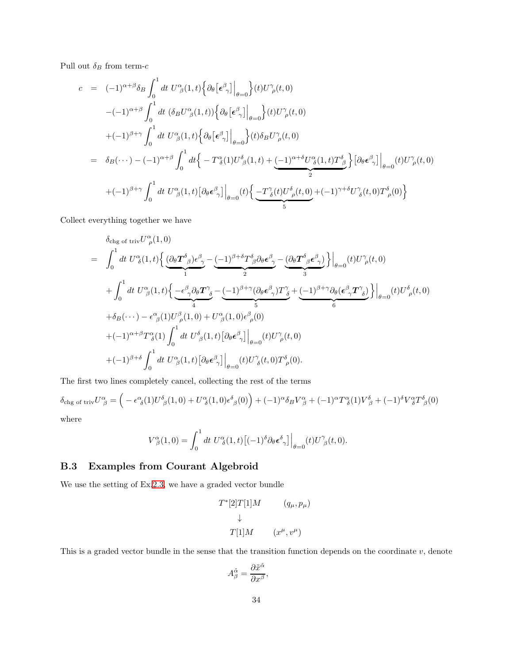Pull out  $\delta_B$  from term- $c$ 

$$
c = (-1)^{\alpha+\beta}\delta_B \int_0^1 dt U^{\alpha}_{\beta}(1,t) \Big\{ \partial_{\theta} \big[\epsilon^{\beta}_{\gamma}\big] \Big|_{\theta=0} \Big\} (t) U^{\gamma}_{\rho}(t,0)
$$
  

$$
-(-1)^{\alpha+\beta} \int_0^1 dt (\delta_B U^{\alpha}_{\beta}(1,t)) \Big\{ \partial_{\theta} \big[\epsilon^{\beta}_{\gamma}\big] \Big|_{\theta=0} \Big\} (t) U^{\gamma}_{\rho}(t,0)
$$
  

$$
+(-1)^{\beta+\gamma} \int_0^1 dt U^{\alpha}_{\beta}(1,t) \Big\{ \partial_{\theta} \big[\epsilon^{\beta}_{\gamma}\big] \Big|_{\theta=0} \Big\} (t) \delta_B U^{\gamma}_{\rho}(t,0)
$$
  

$$
= \delta_B(\cdots) - (-1)^{\alpha+\beta} \int_0^1 dt \Big\{ -T^{\alpha}_{\delta}(1) U^{\delta}_{\beta}(1,t) + \underbrace{(-1)^{\alpha+\delta} U^{\alpha}_{\delta}(1,t) T^{\delta}_{\beta}}_{2} \Big\} \big[\partial_{\theta} \epsilon^{\beta}_{\gamma}\big] \Big|_{\theta=0} (t) U^{\gamma}_{\rho}(t,0)
$$
  

$$
+(-1)^{\beta+\gamma} \int_0^1 dt U^{\alpha}_{\beta}(1,t) \big[\partial_{\theta} \epsilon^{\beta}_{\gamma}\big] \Big|_{\theta=0} (t) \Big\{ \underbrace{-T^{\gamma}_{\delta}(t) U^{\delta}_{\rho}(t,0)}_{5} + (-1)^{\gamma+\delta} U^{\gamma}_{\delta}(t,0) T^{\delta}_{\rho}(0) \Big\}
$$

Collect everything together we have

$$
\delta_{\text{chg of triv}} U_{\rho}^{\alpha}(1,0)
$$
\n
$$
= \int_{0}^{1} dt \ U_{\delta}^{\alpha}(1,t) \Big\{ \underbrace{(\partial_{\theta} \boldsymbol{T}^{\delta}_{\beta}) \epsilon^{\beta}_{\gamma} - (-1)^{\beta+\delta} \boldsymbol{T}^{\delta}_{\beta} \partial_{\theta} \epsilon^{\beta}_{\gamma} - (\partial_{\theta} \boldsymbol{T}^{\delta}_{\beta} \epsilon^{\beta}_{\gamma}) \Big\} \Big|_{\theta=0} (t) U_{\rho}^{\gamma}(t,0)
$$
\n
$$
+ \int_{0}^{1} dt \ U_{\beta}^{\alpha}(1,t) \Big\{ \underbrace{-\epsilon^{\beta}_{\gamma} \partial_{\theta} \boldsymbol{T}^{\gamma}_{\delta} - (-1)^{\beta+\gamma} (\partial_{\theta} \epsilon^{\beta}_{\gamma}) \boldsymbol{T}^{\gamma}_{\delta} + (-1)^{\beta+\gamma} \partial_{\theta} (\epsilon^{\beta}_{\gamma} \boldsymbol{T}^{\gamma}_{\delta}) \Big\} \Big|_{\theta=0} (t) U_{\rho}^{\delta}(t,0)
$$
\n
$$
+ \delta_{B} (\cdots) - \epsilon^{\alpha}_{\beta}(1) U_{\rho}^{\beta}(1,0) + U_{\beta}^{\alpha}(1,0) \epsilon^{\beta}_{\rho}(0)
$$
\n
$$
+ (-1)^{\alpha+\beta} \boldsymbol{T}^{\alpha}_{\delta}(1) \int_{0}^{1} dt \ U_{\beta}^{\delta}(1,t) \Big[ \partial_{\theta} \epsilon^{\beta}_{\gamma} \Big] \Big|_{\theta=0} (t) U_{\rho}^{\gamma}(t,0)
$$
\n
$$
+ (-1)^{\beta+\delta} \int_{0}^{1} dt \ U_{\beta}^{\alpha}(1,t) \Big[ \partial_{\theta} \epsilon^{\beta}_{\gamma} \Big] \Big|_{\theta=0} (t) U_{\delta}^{\gamma}(t,0) \boldsymbol{T}^{\delta}_{\rho}(0).
$$

The first two lines completely cancel, collecting the rest of the terms

 $\delta_{\text{chg of triv}} U^{\alpha}_{\ \beta} = \left( -\epsilon^{\alpha}_{\ \delta}(1) U^{\delta}_{\ \beta}(1,0) + U^{\alpha}_{\ \delta}(1,0) \epsilon^{\delta}_{\ \beta}(0) \right) + (-1)^{\alpha} \delta_B V^{\alpha}_{\ \beta} + (-1)^{\alpha} T^{\alpha}_{\ \delta}(1) V^{\delta}_{\ \beta} + (-1)^{\delta} V^{\alpha}_{\ \delta} T^{\delta}_{\ \beta}(0)$ where

$$
V^{\alpha}_{\beta}(1,0) = \int_0^1 dt \ U^{\alpha}_{\delta}(1,t) \left[ (-1)^{\delta} \partial_{\theta} \epsilon^{\delta}_{\gamma} \right] \Big|_{\theta=0} (t) U^{\gamma}_{\beta}(t,0).
$$

### <span id="page-33-0"></span>B.3 Examples from Courant Algebroid

We use the setting of Ex[.2.3,](#page-5-2) we have a graded vector bundle

$$
T^*[2]T[1]M \t (q_{\mu}, p_{\mu})
$$
  
\n
$$
\downarrow
$$
  
\n
$$
T[1]M \t (x^{\mu}, v^{\mu})
$$

This is a graded vector bundle in the sense that the transition function depends on the coordinate  $v$ , denote

$$
A^{\tilde{\alpha}}_{\beta} = \frac{\partial \tilde{x}^{\tilde{\alpha}}}{\partial x^{\beta}},
$$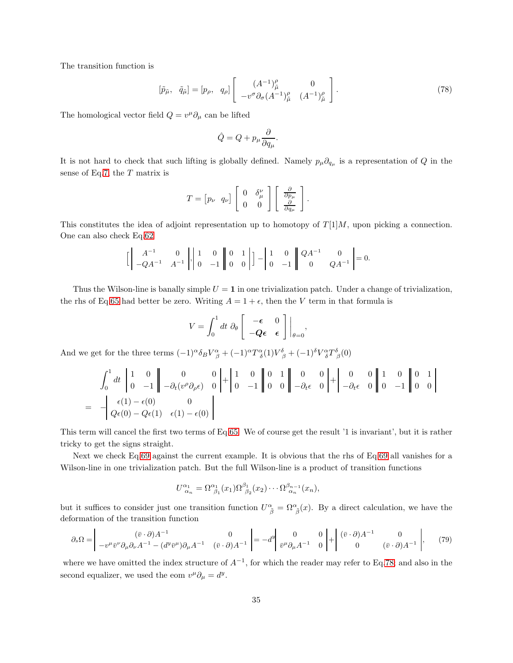The transition function is

<span id="page-34-0"></span>
$$
[\tilde{p}_{\tilde{\mu}}, \tilde{q}_{\tilde{\mu}}] = [p_{\rho}, q_{\rho}] \begin{bmatrix} (A^{-1})^{\rho}_{\tilde{\mu}} & 0\\ -v^{\sigma} \partial_{\sigma} (A^{-1})^{\rho}_{\tilde{\mu}} & (A^{-1})^{\rho}_{\tilde{\mu}} \end{bmatrix}.
$$
 (78)

The homological vector field  $Q = v^{\mu} \partial_{\mu}$  can be lifted

$$
\hat{Q} = Q + p_{\mu} \frac{\partial}{\partial q_{\mu}}.
$$

It is not hard to check that such lifting is globally defined. Namely  $p_\mu \partial_{q_\mu}$  is a representation of Q in the sense of Eq[.7,](#page-4-4) the T matrix is

$$
T = \begin{bmatrix} p_{\nu} & q_{\nu} \end{bmatrix} \begin{bmatrix} 0 & \delta^{\nu}_{\mu} \\ 0 & 0 \end{bmatrix} \begin{bmatrix} \frac{\partial}{\partial p_{\mu}} \\ \frac{\partial}{\partial q_{\mu}} \end{bmatrix}.
$$

This constitutes the idea of adjoint representation up to homotopy of  $T[1]M$ , upon picking a connection. One can also check Eq[.62](#page-23-4)

h A −1 0 −QA<sup>−</sup><sup>1</sup> A −1 , 1 0 0 −1 0 1 0 0 i − 1 0 0 −1 QA<sup>−</sup><sup>1</sup> 0 <sup>0</sup> QA<sup>−</sup><sup>1</sup> = 0.

Thus the Wilson-line is banally simple  $U = 1$  in one trivialization patch. Under a change of trivialization, the rhs of Eq[.65](#page-23-2) had better be zero. Writing  $A = 1 + \epsilon$ , then the V term in that formula is

$$
V = \int_0^1 dt \; \partial_\theta \left[ \begin{array}{cc} -\epsilon & 0 \\ -Q\epsilon & \epsilon \end{array} \right] \bigg|_{\theta=0},
$$

And we get for the three terms  $(-1)^{\alpha} \delta_B V^{\alpha}_{\beta} + (-1)^{\alpha} T^{\alpha}_{\delta} (1) V^{\delta}_{\beta} + (-1)^{\delta} V^{\alpha}_{\delta} T^{\delta}_{\beta} (0)$ 

$$
\int_{0}^{1} dt \begin{vmatrix} 1 & 0 \\ 0 & -1 \end{vmatrix} = \left( \begin{array}{cc} 0 & 0 \\ -\partial_{t} (v^{\rho} \partial_{\rho} \epsilon) & 0 \end{array} \right) + \begin{vmatrix} 1 & 0 \\ 0 & -1 \end{vmatrix} \begin{vmatrix} 0 & 1 \\ 0 & 0 \end{vmatrix} \begin{vmatrix} 0 & 0 \\ -\partial_{t} \epsilon & 0 \end{vmatrix} + \begin{vmatrix} 0 & 0 \\ -\partial_{t} \epsilon & 0 \end{vmatrix} \begin{vmatrix} 1 & 0 \\ 0 & -1 \end{vmatrix} \begin{vmatrix} 0 & 1 \\ 0 & 0 \end{vmatrix}
$$
  
=  $- \begin{vmatrix} \epsilon(1) - \epsilon(0) & 0 \\ Q\epsilon(0) - Q\epsilon(1) & \epsilon(1) - \epsilon(0) \end{vmatrix}$ 

This term will cancel the first two terms of Eq[.65.](#page-23-2) We of course get the result '1 is invariant', but it is rather tricky to get the signs straight.

Next we check Eq[.69](#page-25-4) against the current example. It is obvious that the rhs of Eq[.69](#page-25-4) all vanishes for a Wilson-line in one trivialization patch. But the full Wilson-line is a product of transition functions

$$
U_{\alpha_n}^{\alpha_1} = \Omega_{\ \beta_1}^{\alpha_1}(x_1)\Omega_{\ \beta_2}^{\beta_1}(x_2)\cdots\Omega_{\ \alpha_n}^{\beta_{n-1}}(x_n),
$$

but it suffices to consider just one transition function  $U^{\alpha}_{\ \tilde{\beta}} = \Omega^{\alpha}_{\ \tilde{\beta}}(x)$ . By a direct calculation, we have the deformation of the transition function

<span id="page-34-1"></span>
$$
\partial_s \Omega = \begin{vmatrix} (\bar{v} \cdot \partial) A^{-1} & 0 \\ -v^{\mu} \bar{v}^{\nu} \partial_{\mu} \partial_{\nu} A^{-1} - (d^{\nu} \bar{v}^{\mu}) \partial_{\mu} A^{-1} & (\bar{v} \cdot \partial) A^{-1} \end{vmatrix} = -d^{\nu} \begin{vmatrix} 0 & 0 \\ \bar{v}^{\mu} \partial_{\mu} A^{-1} & 0 \end{vmatrix} + \begin{vmatrix} (\bar{v} \cdot \partial) A^{-1} & 0 \\ 0 & (\bar{v} \cdot \partial) A^{-1} \end{vmatrix}, \tag{79}
$$

where we have omitted the index structure of  $A^{-1}$ , for which the reader may refer to Eq[.78;](#page-34-0) and also in the second equalizer, we used the eom  $v^{\mu} \partial_{\mu} = d^y$ .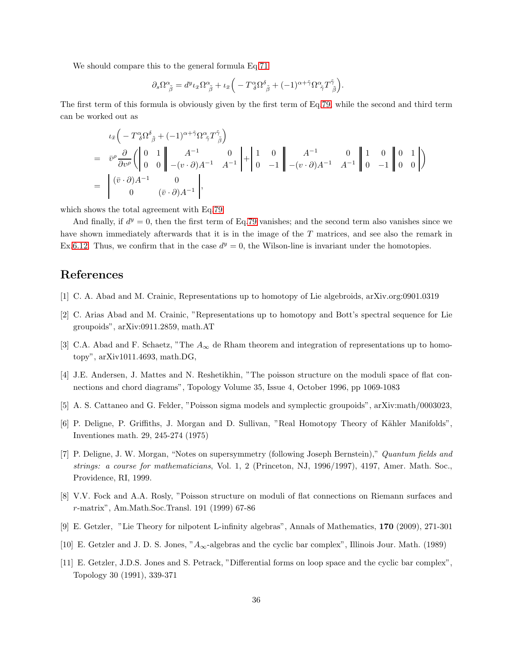We should compare this to the general formula Eq[.71](#page-26-2)

$$
\partial_s\Omega^\alpha_{~\tilde\beta}=d^y\iota_{\bar x}\Omega^\alpha_{~\tilde\beta}+\iota_{\bar x}\Big(-T^\alpha_{~\delta}\Omega^{\delta}_{~\tilde\beta}+(-1)^{\alpha+\tilde\gamma}\Omega^\alpha_{~\tilde\gamma}T^{\tilde\gamma}_{~\tilde\beta}\Big).
$$

The first term of this formula is obviously given by the first term of Eq[.79,](#page-34-1) while the second and third term can be worked out as

$$
\iota_{\bar{x}}\left(-T^{\alpha}_{\delta}\Omega^{\delta}_{\tilde{\beta}}+(-1)^{\alpha+\tilde{\gamma}}\Omega^{\alpha}_{\tilde{\gamma}}T^{\tilde{\gamma}}_{\tilde{\beta}}\right)
$$
\n
$$
=\bar{v}^{\rho}\frac{\partial}{\partial v^{\rho}}\left(\begin{vmatrix}0&1\\0&0\end{vmatrix}\begin{vmatrix}A^{-1}&0\\-(v\cdot\partial)A^{-1}&A^{-1}\end{vmatrix}\begin{vmatrix}1&0\\0&-1\end{vmatrix}\begin{vmatrix}A^{-1}&0\\-(v\cdot\partial)A^{-1}&A^{-1}\end{vmatrix}\begin{vmatrix}1&0\\0&-1\end{vmatrix}\begin{vmatrix}0&1\\0&0\end{vmatrix}\right)
$$
\n
$$
=\begin{vmatrix}(\bar{v}\cdot\partial)A^{-1}&0\\0&(\bar{v}\cdot\partial)A^{-1}\end{vmatrix},
$$

which shows the total agreement with Eq[.79.](#page-34-1)

And finally, if  $d<sup>y</sup> = 0$ , then the first term of Eq[.79](#page-34-1) vanishes; and the second term also vanishes since we have shown immediately afterwards that it is in the image of the T matrices, and see also the remark in Ex[.6.12.](#page-25-5) Thus, we confirm that in the case  $d^y = 0$ , the Wilson-line is invariant under the homotopies.

# <span id="page-35-0"></span>References

- <span id="page-35-10"></span>[1] C. A. Abad and M. Crainic, Representations up to homotopy of Lie algebroids, arXiv.org:0901.0319
- <span id="page-35-1"></span>[2] C. Arias Abad and M. Crainic, "Representations up to homotopy and Bott's spectral sequence for Lie groupoids", arXiv:0911.2859, math.AT
- <span id="page-35-4"></span>[3] C.A. Abad and F. Schaetz, "The  $A_{\infty}$  de Rham theorem and integration of representations up to homotopy", arXiv1011.4693, math.DG,
- <span id="page-35-9"></span>[4] J.E. Andersen, J. Mattes and N. Reshetikhin, "The poisson structure on the moduli space of flat connections and chord diagrams", Topology Volume 35, Issue 4, October 1996, pp 1069-1083
- <span id="page-35-6"></span>[5] A. S. Cattaneo and G. Felder, "Poisson sigma models and symplectic groupoids", arXiv:math/0003023,
- <span id="page-35-5"></span>[6] P. Deligne, P. Griffiths, J. Morgan and D. Sullivan, "Real Homotopy Theory of Kähler Manifolds", Inventiones math. 29, 245-274 (1975)
- [7] P. Deligne, J. W. Morgan, "Notes on supersymmetry (following Joseph Bernstein)," Quantum fields and strings: a course for mathematicians, Vol. 1, 2 (Princeton, NJ, 1996/1997), 4197, Amer. Math. Soc., Providence, RI, 1999.
- <span id="page-35-3"></span><span id="page-35-2"></span>[8] V.V. Fock and A.A. Rosly, "Poisson structure on moduli of flat connections on Riemann surfaces and r-matrix", Am.Math.Soc.Transl. 191 (1999) 67-86
- <span id="page-35-7"></span>[9] E. Getzler, "Lie Theory for nilpotent L-infinity algebras", Annals of Mathematics, 170 (2009), 271-301
- <span id="page-35-8"></span>[10] E. Getzler and J. D. S. Jones, "A∞-algebras and the cyclic bar complex", Illinois Jour. Math. (1989)
- [11] E. Getzler, J.D.S. Jones and S. Petrack, "Differential forms on loop space and the cyclic bar complex", Topology 30 (1991), 339-371